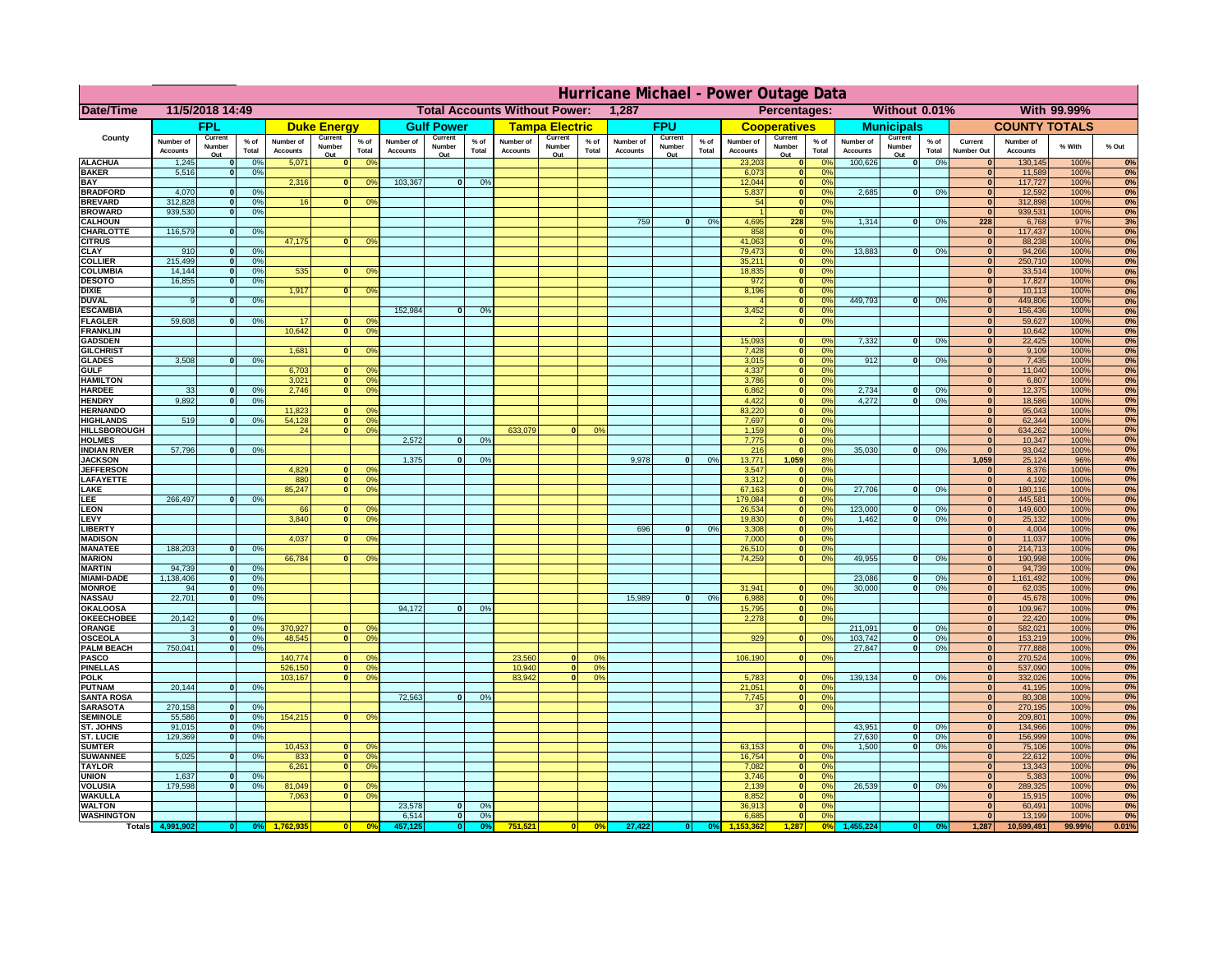|                                      | Hurricane Michael - Power Outage Data |                             |                    |                              |                          |                                                         |                              |                          |                |                              |                                              |                  |                              |                          |                 |                              |                          |                             |                              |                          |                 |                              |                              |              |          |
|--------------------------------------|---------------------------------------|-----------------------------|--------------------|------------------------------|--------------------------|---------------------------------------------------------|------------------------------|--------------------------|----------------|------------------------------|----------------------------------------------|------------------|------------------------------|--------------------------|-----------------|------------------------------|--------------------------|-----------------------------|------------------------------|--------------------------|-----------------|------------------------------|------------------------------|--------------|----------|
| Date/Time                            | 11/5/2018 14:49                       |                             |                    |                              |                          | <b>Total Accounts Without Power:</b><br>1,287           |                              |                          |                |                              | Without 0.01%<br>With 99.99%<br>Percentages: |                  |                              |                          |                 |                              |                          |                             |                              |                          |                 |                              |                              |              |          |
|                                      |                                       | FPL                         |                    |                              | <b>Duke Energy</b>       |                                                         |                              | <b>Gulf Power</b>        |                |                              | <b>Tampa Electric</b>                        |                  |                              | <b>FPU</b>               |                 |                              | <b>Cooperatives</b>      |                             |                              | <b>Municipals</b>        |                 |                              | <b>COUNTY TOTALS</b>         |              |          |
| County                               | Number of<br><b>Accounts</b>          | Current<br>Number<br>Out    | $%$ of<br>Total    | Number of<br><b>Accounts</b> | Current<br>Number<br>Out | $%$ of<br>Total                                         | Number of<br><b>Accounts</b> | Current<br>Number<br>Out | % of<br>Total  | Number of<br><b>Accounts</b> | Current<br>Number<br>Out                     | $%$ of<br>Total  | Number of<br><b>Accounts</b> | Current<br>Number<br>Out | $%$ of<br>Total | Number of<br><b>Accounts</b> | Current<br>Number<br>Out | $%$ of<br>Total             | Number of<br><b>Accounts</b> | Current<br>Number<br>Out | $%$ of<br>Total | Current<br>Number Out        | Number of<br><b>Accounts</b> | % With       | % Out    |
| <b>ALACHUA</b>                       | 1,245                                 | $\mathbf{0}$                | 0%                 | 5,071                        | $\mathbf{0}$             | 0 <sup>9</sup>                                          |                              |                          |                |                              |                                              |                  |                              |                          |                 | 23,203                       | 0                        | 0%                          | 100,626                      | 0                        | 0%              | $\bf{0}$                     | 130,145                      | 100%         | 0%       |
| <b>BAKER</b>                         | 5,516                                 | 0                           | 0%                 |                              |                          |                                                         |                              |                          |                |                              |                                              |                  |                              |                          |                 | 6,073                        | 0                        | 0%                          |                              |                          |                 | $\overline{\mathbf{0}}$      | 11,589                       | 100%         | 0%       |
| <b>BAY</b><br><b>BRADFORD</b>        | 4,070                                 | $\mathbf{0}$                | 0%                 | 2,316                        |                          | 0 <br>0 <sup>9</sup>                                    | 103,367                      | 0                        | 0%             |                              |                                              |                  |                              |                          |                 | 12,044<br>5,837              | 0 <br> 0                 | 0%<br>0%                    | 2,685                        | 0                        | 0%              | $\mathbf{0}$<br>$\bf{0}$     | 117,727<br>12,592            | 100%<br>100% | 0%<br>0% |
| <b>BREVARD</b>                       | 312,828                               | 0                           | 0%                 | 16                           |                          | 0 <sup>o</sup><br> 0                                    |                              |                          |                |                              |                                              |                  |                              |                          |                 | 54                           | 0                        | 0%                          |                              |                          |                 | 0                            | 312,898                      | 100%         | 0%       |
| <b>BROWARD</b>                       | 939.530                               | 0                           | 0%                 |                              |                          |                                                         |                              |                          |                |                              |                                              |                  |                              |                          |                 |                              | 0                        | 0%                          |                              |                          |                 | $\bf{0}$                     | 939,531                      | 100%         | 0%       |
| <b>CALHOUN</b><br>CHARLOTTE          | 116,579                               | 0                           | 0%                 |                              |                          |                                                         |                              |                          |                |                              |                                              |                  | 759                          | $\mathbf{0}$             | 0%              | 4,695<br>858                 | 228<br> 0                | 5%<br>0%                    | 1,314                        | 0                        | 0%              | 228<br>$\bf{0}$              | 6,768<br>117,437             | 97%<br>100%  | 3%<br>0% |
| <b>CITRUS</b>                        |                                       |                             |                    | 47,175                       | $\mathbf{0}$             | 0 <sup>o</sup>                                          |                              |                          |                |                              |                                              |                  |                              |                          |                 | 41,063                       | 0                        | 0 <sup>9</sup>              |                              |                          |                 | $\bf{0}$                     | 88,238                       | 100%         | 0%       |
| <b>CLAY</b>                          | 910                                   | $\mathbf{0}$                | 0%                 |                              |                          |                                                         |                              |                          |                |                              |                                              |                  |                              |                          |                 | 79,473                       | 0                        | 0 <sup>9</sup>              | 13,883                       | $\mathbf{0}$             | 0%              | $\bf{0}$                     | 94,266                       | 100%         | 0%       |
| <b>COLLIER</b>                       | 215,499                               | $\mathbf{0}$                | 0 <sup>9</sup>     |                              |                          |                                                         |                              |                          |                |                              |                                              |                  |                              |                          |                 | 35,211                       | 0                        | 0%                          |                              |                          |                 | $\bf{0}$                     | 250,710                      | 100%         | 0%       |
| <b>COLUMBIA</b><br><b>DESOTO</b>     | 14,144<br>16,855                      | $\mathbf 0$<br>$\mathbf{0}$ | 0%<br>0%           | 535                          | $\mathbf{0}$             | 0 <sup>9</sup>                                          |                              |                          |                |                              |                                              |                  |                              |                          |                 | 18,835<br>972                | 0 <br> 0                 | 0%<br>0%                    |                              |                          |                 | $\bf{0}$<br>$\bf{0}$         | 33,514<br>17,827             | 100%<br>100% | 0%<br>0% |
| <b>DIXIE</b>                         |                                       |                             |                    | 1,917                        | $\mathbf{0}$             | 0 <sup>9</sup>                                          |                              |                          |                |                              |                                              |                  |                              |                          |                 | 8,196                        | 0                        | 0%                          |                              |                          |                 | $\Omega$                     | 10,113                       | 100%         | 0%       |
| <b>DUVAL</b>                         | 9                                     | $\Omega$                    | 0%                 |                              |                          |                                                         |                              |                          |                |                              |                                              |                  |                              |                          |                 |                              | 0                        | 0%                          | 449.793                      | $\overline{\mathbf{0}}$  | 0%              | $\Omega$                     | 449,806                      | 100%         | 0%       |
| <b>ESCAMBIA</b>                      | 59,608                                |                             |                    | 17                           |                          |                                                         | 152,984                      | $\mathbf{0}$             | 0 <sup>9</sup> |                              |                                              |                  |                              |                          |                 | 3,452                        | 0                        | 0%<br>0%                    |                              |                          |                 | $\Omega$<br>$\bf{0}$         | 156,436                      | 100%         | 0%       |
| <b>FLAGLER</b><br><b>FRANKLIN</b>    |                                       | $\overline{0}$              | 0%                 | 10,642                       | $\bf{0}$<br> 0           | 0 <sup>o</sup><br>0 <sup>9</sup>                        |                              |                          |                |                              |                                              |                  |                              |                          |                 |                              | 0                        |                             |                              |                          |                 | $\overline{0}$               | 59,627<br>10,642             | 100%<br>100% | 0%<br>0% |
| <b>GADSDEN</b>                       |                                       |                             |                    |                              |                          |                                                         |                              |                          |                |                              |                                              |                  |                              |                          |                 | 15,093                       | $\mathbf{0}$             | 0%                          | 7,332                        | 0                        | 0%              | $\overline{0}$               | 22,425                       | 100%         | 0%       |
| <b>GILCHRIST</b>                     |                                       |                             |                    | 1,681                        | $\Omega$                 | 0 <sup>9</sup>                                          |                              |                          |                |                              |                                              |                  |                              |                          |                 | 7,428                        | 0                        | 0%                          |                              |                          |                 | $\overline{0}$               | 9,109                        | 100%         | 0%       |
| <b>GLADES</b><br><b>GULF</b>         | 3,508                                 | 0                           | 0%                 |                              |                          | $\mathbf{0}$<br>0 <sup>9</sup>                          |                              |                          |                |                              |                                              |                  |                              |                          |                 | 3,015                        |                          | $\overline{0}$<br>0%<br>0%  | 912                          | $\overline{0}$           | 0%              | 0 <br> 0                     | 7,435                        | 100%<br>100% | 0%       |
| <b>HAMILTON</b>                      |                                       |                             |                    | 6,703<br>3,021               |                          | $\overline{0}$<br>0 <sup>9</sup>                        |                              |                          |                |                              |                                              |                  |                              |                          |                 | 4,337<br>3,786               |                          | $\overline{0}$<br> 0 <br>0% |                              |                          |                 | 0                            | 11,040<br>6,807              | 100%         | 0%<br>0% |
| <b>HARDEE</b>                        | 33                                    | $\overline{0}$              | 0%                 | 2.746                        |                          | 0 <br>0 <sup>9</sup>                                    |                              |                          |                |                              |                                              |                  |                              |                          |                 | 6.862                        |                          | 0 <br>0%                    | 2.734                        | $\mathbf{0}$             | 0%              | 0                            | 12,375                       | 100%         | 0%       |
| <b>HENDRY</b>                        | 9,892                                 | $\Omega$                    | 0%                 |                              |                          |                                                         |                              |                          |                |                              |                                              |                  |                              |                          |                 | 4,422                        |                          | 0 <br>0%                    | 4,272                        | $\Omega$                 | 0%              | $\Omega$                     | 18,586                       | 100%         | 0%       |
| <b>HERNANDO</b><br><b>HIGHLANDS</b>  | 519                                   | $\mathbf{0}$                |                    | 11,823<br>54,128             |                          | 0 <sup>9</sup><br>$\mathbf{0}$<br> 0 <br>0 <sup>9</sup> |                              |                          |                |                              |                                              |                  |                              |                          |                 | 83,220<br>7,697              |                          | 0 <br>0%<br> 0 <br>0%       |                              |                          |                 | 0 <br> 0                     | 95,043<br>62,344             | 100%<br>100% | 0%<br>0% |
| <b>HILLSBOROUGH</b>                  |                                       |                             | 0 <sup>9</sup>     | 24                           |                          | $\overline{0}$<br>0 <sup>9</sup>                        |                              |                          |                | 633,079                      |                                              | 0%               |                              |                          |                 | 1,159                        |                          | 0 <br>0%                    |                              |                          |                 | 0                            | 634,262                      | 100%         | 0%       |
| <b>HOLMES</b>                        |                                       |                             |                    |                              |                          |                                                         | 2.572                        | $\mathbf{0}$             | 0%             |                              |                                              |                  |                              |                          |                 | 7,775                        |                          | 0 <br>0%                    |                              |                          |                 | 0                            | 10,347                       | 100%         | 0%       |
| <b>INDIAN RIVER</b>                  | 57,796                                |                             | $\mathbf{0}$<br>0% |                              |                          |                                                         |                              |                          |                |                              |                                              |                  |                              |                          |                 | 216                          |                          | 0 <br>0%                    | 35,030                       | $\mathbf{0}$             | 0%              | 0                            | 93,042                       | 100%         | 0%       |
| <b>JACKSON</b><br><b>JEFFERSON</b>   |                                       |                             |                    | 4.829                        |                          | n l<br>0 <sup>9</sup>                                   | 1.375                        | $\mathbf{0}$             | 0 <sup>9</sup> |                              |                                              |                  | 9.978                        | $\mathbf{0}$             | 0%              | 13.771<br>3.547              | 1.059                    | 8%<br> 0 <br>0%             |                              |                          |                 | 1.059<br>$\mathbf{0}$        | 25,124<br>8.376              | 96%<br>100%  | 4%<br>0% |
| LAFAYETTE                            |                                       |                             |                    | 880                          |                          | 0 <br>0 <sup>9</sup>                                    |                              |                          |                |                              |                                              |                  |                              |                          |                 | 3.312                        |                          | 0 <br>0%                    |                              |                          |                 | 0                            | 4,192                        | 100%         | 0%       |
| LAKE                                 |                                       |                             |                    | 85,247                       |                          | $\mathbf{0}$<br>0 <sup>9</sup>                          |                              |                          |                |                              |                                              |                  |                              |                          |                 | 67,163                       |                          | 0 <br>0%                    | 27,706                       | $\Omega$                 | 0%              | 0                            | 180,116                      | 100%         | 0%       |
| EE.                                  | 266,497                               | $\Omega$                    | 0%                 |                              |                          |                                                         |                              |                          |                |                              |                                              |                  |                              |                          |                 | 179,084                      |                          | 0 <br>0%                    |                              |                          |                 | 0                            | 445,581                      | 100%         | 0%       |
| LEON<br>LEVY                         |                                       |                             |                    | 66<br>3,840                  | $\Omega$                 | $\mathbf{0}$<br>0 <sup>o</sup><br>0 <sup>9</sup>        |                              |                          |                |                              |                                              |                  |                              |                          |                 | 26,534<br>19,830             |                          | 0 <br>0%<br> 0 <br>0%       | 123,000<br>1,462             | $\mathbf{0}$<br>0        | 0%<br>0%        | 0 <br> 0                     | 149,600<br>25,132            | 100%<br>100% | 0%<br>0% |
| LIBERTY                              |                                       |                             |                    |                              |                          |                                                         |                              |                          |                |                              |                                              |                  | 696                          | $\Omega$                 | 0%              | 3,308                        |                          | 0 <br>0%                    |                              |                          |                 | 0                            | 4,004                        | 100%         | 0%       |
| <b>MADISON</b>                       |                                       |                             |                    | 4,037                        | $\Omega$                 | 0 <sup>9</sup>                                          |                              |                          |                |                              |                                              |                  |                              |                          |                 | 7,000                        |                          | 0 <br>0%                    |                              |                          |                 | 0                            | 11,037                       | 100%         | 0%       |
| <b>MANATEE</b>                       | 188,203                               | 0                           | 0%                 |                              |                          |                                                         |                              |                          |                |                              |                                              |                  |                              |                          |                 | 26,510                       |                          | 0 <br>0%                    |                              |                          |                 | 0                            | 214,713                      | 100%         | 0%       |
| <b>MARION</b><br><b>MARTIN</b>       | 94,739                                | 0                           | 0%                 | 66,784                       | $\Omega$                 | 0 <sup>9</sup>                                          |                              |                          |                |                              |                                              |                  |                              |                          |                 | 74,259                       |                          | 0 <br>0%                    | 49,955                       | nl                       | 0%              | 0 <br> 0                     | 190,998<br>94,739            | 100%<br>100% | 0%<br>0% |
| <b>MIAMI-DADE</b>                    | 1,138,406                             | 0                           | 0%                 |                              |                          |                                                         |                              |                          |                |                              |                                              |                  |                              |                          |                 |                              |                          |                             | 23,086                       | $\mathbf{0}$             | 0%              | 0                            | 1,161,492                    | 100%         | 0%       |
| <b>MONROE</b>                        | 94                                    | 0                           | 0%                 |                              |                          |                                                         |                              |                          |                |                              |                                              |                  |                              |                          |                 | 31,941                       | $\overline{0}$           | 0 <sup>9</sup>              | 30,000                       | 0                        | 0%              | 0                            | 62,035                       | 100%         | 0%       |
| <b>NASSAU</b>                        | 22,701                                | 0                           | 0%                 |                              |                          |                                                         |                              |                          |                |                              |                                              |                  | 15,989                       | 0                        | 0%              | 6,988                        |                          | 0 <br>0%                    |                              |                          |                 | 0                            | 45,678                       | 100%         | 0%       |
| OKALOOSA<br><b>OKEECHOBEE</b>        | 20,142                                | 0                           | 0%                 |                              |                          |                                                         | 94,172                       | $\mathbf{0}$             | 0%             |                              |                                              |                  |                              |                          |                 | 15,795<br>2,278              |                          | 0 <br>0%<br>0%<br> 0        |                              |                          |                 | 0 <br> 0                     | 109,967<br>22,420            | 100%<br>100% | 0%<br>0% |
| ORANGE                               | 3                                     | 0                           | 0%                 | 370,927                      |                          | 0 <br>0 <sup>o</sup>                                    |                              |                          |                |                              |                                              |                  |                              |                          |                 |                              |                          |                             | 211,091                      | $\overline{\mathbf{0}}$  | 0%              | 0                            | 582,021                      | 100%         | 0%       |
| <b>OSCEOLA</b>                       | 3                                     | 0                           | 0%                 | 48,545                       |                          | 0 <sup>9</sup><br> 0                                    |                              |                          |                |                              |                                              |                  |                              |                          |                 | 929                          |                          | 0 <br>0%                    | 103,742                      | 0                        | 0%              | 0                            | 153,219                      | 100%         | 0%       |
| <b>PALM BEACH</b>                    | 750,041                               |                             | 0 <br>0%           |                              |                          |                                                         |                              |                          |                |                              |                                              |                  |                              |                          |                 |                              |                          |                             | 27,847                       | $\overline{\mathbf{0}}$  | 0%              | 0                            | 777,888                      | 100%         | 0%       |
| PASCO<br><b>PINELLAS</b>             |                                       |                             |                    | 140,774<br>526,150           |                          | 0 <sup>9</sup><br>$\Omega$<br>0 <sup>9</sup><br> 0      |                              |                          |                | 23,560<br>10,940             | $\Omega$<br> 0                               | $^{\circ}$<br>0% |                              |                          |                 | 106,190                      |                          | 0 <br>0%                    |                              |                          |                 | 0 <br>$\mathbf{0}$           | 270,524<br>537,090           | 100%<br>100% | 0%<br>0% |
| <b>POLK</b>                          |                                       |                             |                    | 103,167                      |                          | 0 <sup>9</sup><br> 0                                    |                              |                          |                | 83,942                       | $\mathbf{a}$                                 | 0%               |                              |                          |                 | 5,783                        |                          | 0 <br>$\Omega$              | 139,134                      | 0                        | 0%              | 0                            | 332,026                      | 100%         | 0%       |
| <b>PUTNAM</b>                        | 20,144                                | 0                           | 0%                 |                              |                          |                                                         |                              |                          |                |                              |                                              |                  |                              |                          |                 | 21,051                       | $\ddot{\textbf{0}}$      | 0%                          |                              |                          |                 | $\bf{0}$                     | 41,195                       | 100%         | 0%       |
| <b>SANTA ROSA</b><br><b>SARASOTA</b> | 270,158                               | 0                           | 0%                 |                              |                          |                                                         | 72,563                       | 0                        | 0%             |                              |                                              |                  |                              |                          |                 | 7,745<br>37                  |                          | 0 <br>0%<br> 0 <br>0%       |                              |                          |                 | $\mathbf{0}$<br> 0           | 80,308<br>270,195            | 100%<br>100% | 0%<br>0% |
| <b>SEMINOLE</b>                      | 55,586                                | 0                           | 0%                 | 154,215                      |                          | $\mathbf{0}$<br>0 <sup>9</sup>                          |                              |                          |                |                              |                                              |                  |                              |                          |                 |                              |                          |                             |                              |                          |                 | 0                            | 209,801                      | 100%         | 0%       |
| ST. JOHNS                            | 91,015                                | 0                           | 0%                 |                              |                          |                                                         |                              |                          |                |                              |                                              |                  |                              |                          |                 |                              |                          |                             | 43,951                       | -ol                      | 0%              | 0                            | 134,966                      | 100%         | 0%       |
| <b>ST. LUCIE</b>                     | 129.369                               | $\overline{0}$              | 0%                 |                              |                          |                                                         |                              |                          |                |                              |                                              |                  |                              |                          |                 |                              |                          |                             | 27.630                       | - O I                    | 0%              | 0                            | 156,999                      | 100%         | 0%       |
| <b>SUMTER</b><br><b>SUWANNEE</b>     | 5,025                                 |                             |                    | 10,453                       |                          | 0 <br>0 <sup>9</sup>                                    |                              |                          |                |                              |                                              |                  |                              |                          |                 | 63,153<br>16,754             |                          | 0 <br>0%<br>0%              | 1.500                        | 0                        | 0%              | 0 <br>$\mathbf{0}$           | 75,106                       | 100%<br>100% | 0%<br>0% |
| <b>TAYLOR</b>                        |                                       | 0                           | 0%                 | 833<br>6,261                 | 0 <br> 0                 | 0 <sup>o</sup><br>0 <sup>9</sup>                        |                              |                          |                |                              |                                              |                  |                              |                          |                 | 7,082                        |                          | 0 <br> 0 <br>0%             |                              |                          |                 | $\bf{0}$                     | 22,612<br>13,343             | 100%         | 0%       |
| <b>UNION</b>                         | 1,637                                 | $\mathbf{0}$                | 0%                 |                              |                          |                                                         |                              |                          |                |                              |                                              |                  |                              |                          |                 | 3,746                        |                          | 0 <br>0%                    |                              |                          |                 | $\bf{0}$                     | 5,383                        | 100%         | 0%       |
| <b>VOLUSIA</b>                       | 179,598                               | 0                           | 0%                 | 81,049                       | $\mathbf{0}$             | $\mathbf{0}$                                            |                              |                          |                |                              |                                              |                  |                              |                          |                 | 2,139                        |                          | 0 <br>0%                    | 26,539                       | 0                        | 0%              | $\bf{0}$                     | 289,325                      | 100%         | 0%       |
| <b>WAKULLA</b><br><b>WALTON</b>      |                                       |                             |                    | 7,063                        | $\mathbf{0}$             | 0 <sup>9</sup>                                          | 23,578                       | $\mathbf{0}$             | 0%             |                              |                                              |                  |                              |                          |                 | 8,852<br>36,913              |                          | 0 <br>0%<br> 0 <br>0%       |                              |                          |                 | $\mathbf{0}$<br>$\mathbf{0}$ | 15,915<br>60,491             | 100%<br>100% | 0%<br>0% |
| <b>WASHINGTON</b>                    |                                       |                             |                    |                              |                          |                                                         | 6,514                        | 0                        | 0%             |                              |                                              |                  |                              |                          |                 | 6,685                        |                          | 0 <br>0%                    |                              |                          |                 | $\bf{0}$                     | 13,199                       | 100%         | 0%       |
| <b>Totals</b>                        |                                       |                             |                    |                              |                          | 0 <sup>6</sup>                                          |                              | $\bullet$                |                | 751,521                      | 0                                            | 0%               | 27,422                       | $\mathbf{0}$             | 0%              |                              | 1,287                    | 0%                          |                              |                          |                 | 1,287                        | 10,599,491                   | 99.99%       | 0.01%    |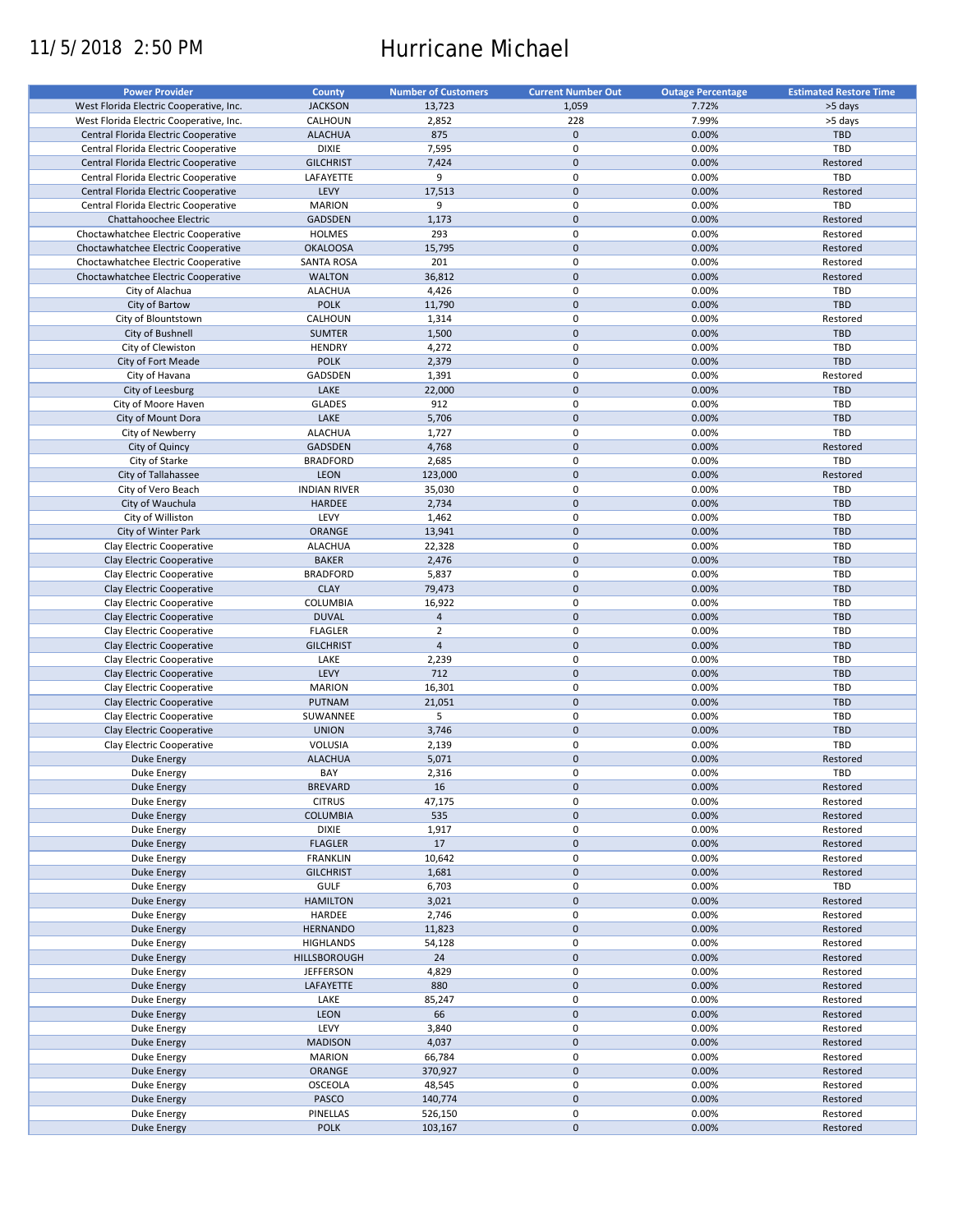# 11/5/2018 2:50 PM Hurricane Michael

| West Florida Electric Cooperative, Inc.<br><b>JACKSON</b><br>13,723<br>1,059<br>7.72%<br>>5 days<br>CALHOUN<br>2,852<br>228<br>7.99%<br>>5 days<br>West Florida Electric Cooperative, Inc.<br><b>ALACHUA</b><br>875<br>$\mathbf 0$<br>0.00%<br>TBD<br>Central Florida Electric Cooperative<br>TBD<br><b>DIXIE</b><br>7,595<br>$\pmb{0}$<br>Central Florida Electric Cooperative<br>0.00%<br>$\pmb{0}$<br>7,424<br>0.00%<br>Central Florida Electric Cooperative<br><b>GILCHRIST</b><br>Restored<br>9<br>$\mathbf 0$<br><b>TBD</b><br>Central Florida Electric Cooperative<br>LAFAYETTE<br>0.00%<br>$\pmb{0}$<br>LEVY<br>17,513<br>0.00%<br>Central Florida Electric Cooperative<br>Restored<br>$\pmb{0}$<br><b>MARION</b><br>TBD<br>Central Florida Electric Cooperative<br>9<br>0.00%<br>$\pmb{0}$<br>0.00%<br>Chattahoochee Electric<br>GADSDEN<br>1,173<br>Restored<br>$\pmb{0}$<br>293<br>0.00%<br>Choctawhatchee Electric Cooperative<br><b>HOLMES</b><br>Restored<br>$\pmb{0}$<br>0.00%<br>Restored<br>Choctawhatchee Electric Cooperative<br><b>OKALOOSA</b><br>15,795<br>201<br>$\pmb{0}$<br>0.00%<br>Restored<br>Choctawhatchee Electric Cooperative<br>SANTA ROSA<br>$\pmb{0}$<br>36,812<br>0.00%<br>Choctawhatchee Electric Cooperative<br><b>WALTON</b><br>Restored<br><b>ALACHUA</b><br>$\pmb{0}$<br>0.00%<br>TBD<br>City of Alachua<br>4,426<br>$\pmb{0}$<br>TBD<br><b>POLK</b><br>0.00%<br>City of Bartow<br>11,790<br>CALHOUN<br>$\pmb{0}$<br>0.00%<br>City of Blountstown<br>1,314<br>Restored<br>$\mathbf 0$<br>0.00%<br><b>TBD</b><br>City of Bushnell<br><b>SUMTER</b><br>1,500<br>$\pmb{0}$<br>0.00%<br>TBD<br>City of Clewiston<br><b>HENDRY</b><br>4,272<br>$\mathbf 0$<br>TBD<br><b>POLK</b><br>2,379<br>0.00%<br>City of Fort Meade<br>$\pmb{0}$<br>GADSDEN<br>0.00%<br>City of Havana<br>1,391<br>Restored<br>$\pmb{0}$<br>LAKE<br>0.00%<br>TBD<br>City of Leesburg<br>22,000<br>$\pmb{0}$<br><b>GLADES</b><br>912<br>0.00%<br>TBD<br>City of Moore Haven<br>$\pmb{0}$<br>LAKE<br>0.00%<br>TBD<br>City of Mount Dora<br>5,706<br>$\pmb{0}$<br><b>ALACHUA</b><br>1,727<br>0.00%<br>TBD<br>City of Newberry<br>$\pmb{0}$<br>GADSDEN<br>4,768<br>0.00%<br>Restored<br>City of Quincy<br>2,685<br>$\pmb{0}$<br>0.00%<br>TBD<br>City of Starke<br><b>BRADFORD</b><br>$\pmb{0}$<br>City of Tallahassee<br>LEON<br>123,000<br>0.00%<br>Restored<br>City of Vero Beach<br><b>INDIAN RIVER</b><br>35,030<br>$\pmb{0}$<br>0.00%<br><b>TBD</b><br>$\pmb{0}$<br>City of Wauchula<br><b>TBD</b><br><b>HARDEE</b><br>2,734<br>0.00%<br>$\pmb{0}$<br>LEVY<br>1,462<br>0.00%<br><b>TBD</b><br>City of Williston<br>$\pmb{0}$<br>13,941<br>0.00%<br><b>TBD</b><br>City of Winter Park<br>ORANGE<br>$\pmb{0}$<br>0.00%<br>TBD<br>Clay Electric Cooperative<br><b>ALACHUA</b><br>22,328<br>$\pmb{0}$<br>0.00%<br>Clay Electric Cooperative<br><b>BAKER</b><br>2,476<br><b>TBD</b><br>$\pmb{0}$<br>0.00%<br>TBD<br>Clay Electric Cooperative<br><b>BRADFORD</b><br>5,837<br>$\mathbf 0$<br><b>CLAY</b><br>79,473<br>0.00%<br><b>TBD</b><br>Clay Electric Cooperative<br>16,922<br>$\pmb{0}$<br>0.00%<br>TBD<br>Clay Electric Cooperative<br>COLUMBIA<br>$\mathbf 0$<br><b>DUVAL</b><br>$\sqrt{4}$<br>0.00%<br><b>TBD</b><br>Clay Electric Cooperative<br>$\pmb{0}$<br><b>FLAGLER</b><br>$\overline{2}$<br>0.00%<br>TBD<br>Clay Electric Cooperative<br>$\overline{4}$<br>$\pmb{0}$<br><b>GILCHRIST</b><br>0.00%<br><b>TBD</b><br>Clay Electric Cooperative<br>$\pmb{0}$<br>LAKE<br>2,239<br>0.00%<br>TBD<br>Clay Electric Cooperative<br>712<br>$\mathbf 0$<br>LEVY<br>0.00%<br><b>TBD</b><br>Clay Electric Cooperative<br>$\pmb{0}$<br>16,301<br>0.00%<br>TBD<br><b>MARION</b><br>Clay Electric Cooperative<br>$\mathbf 0$<br>PUTNAM<br>21,051<br>0.00%<br><b>TBD</b><br>Clay Electric Cooperative<br>$\pmb{0}$<br>5<br>0.00%<br>TBD<br>Clay Electric Cooperative<br>SUWANNEE<br>$\pmb{0}$<br><b>UNION</b><br>3,746<br>0.00%<br><b>TBD</b><br>Clay Electric Cooperative<br>$\pmb{0}$<br>TBD<br>VOLUSIA<br>0.00%<br>Clay Electric Cooperative<br>2,139<br>$\pmb{0}$<br><b>ALACHUA</b><br>5,071<br>0.00%<br>Restored<br><b>Duke Energy</b><br>$\mathbf 0$<br>BAY<br>2,316<br>0.00%<br>TBD<br>Duke Energy<br>$\pmb{0}$<br>0.00%<br><b>Duke Energy</b><br><b>BREVARD</b><br>16<br>Restored<br><b>CITRUS</b><br>47,175<br>0<br>0.00%<br>Duke Energy<br>Restored<br>$\pmb{0}$<br><b>COLUMBIA</b><br>535<br>0.00%<br>Duke Energy<br>Restored<br><b>DIXIE</b><br>0<br>1,917<br>0.00%<br>Restored<br>Duke Energy<br>17<br>$\pmb{0}$<br><b>FLAGLER</b><br>0.00%<br>Restored<br>Duke Energy<br>0<br><b>FRANKLIN</b><br>10,642<br>0.00%<br>Restored<br>Duke Energy<br>0<br><b>GILCHRIST</b><br>1,681<br>0.00%<br>Restored<br>Duke Energy<br>0<br>TBD<br>Duke Energy<br><b>GULF</b><br>6,703<br>0.00%<br>$\pmb{0}$<br>0.00%<br><b>Duke Energy</b><br><b>HAMILTON</b><br>3,021<br>Restored<br>$\pmb{0}$<br>Duke Energy<br>HARDEE<br>2,746<br>0.00%<br>Restored<br>$\pmb{0}$<br>0.00%<br>Restored<br><b>Duke Energy</b><br><b>HERNANDO</b><br>11,823<br>0<br>Duke Energy<br><b>HIGHLANDS</b><br>54,128<br>0.00%<br>Restored<br>24<br>$\pmb{0}$<br>0.00%<br>Restored<br><b>Duke Energy</b><br>HILLSBOROUGH<br>4,829<br>0<br>0.00%<br>Duke Energy<br><b>JEFFERSON</b><br>Restored<br>$\pmb{0}$<br>880<br>0.00%<br>Restored<br><b>Duke Energy</b><br>LAFAYETTE<br>0<br>0.00%<br>Restored<br>Duke Energy<br>LAKE<br>85,247<br>$\pmb{0}$<br>LEON<br>66<br>Restored<br><b>Duke Energy</b><br>0.00%<br>LEVY<br>0<br>Restored<br>Duke Energy<br>3,840<br>0.00%<br>$\pmb{0}$<br>4,037<br>0.00%<br><b>Duke Energy</b><br><b>MADISON</b><br>Restored<br>$\pmb{0}$<br><b>MARION</b><br>0.00%<br><b>Duke Energy</b><br>66,784<br>Restored<br>$\pmb{0}$<br><b>Duke Energy</b><br>ORANGE<br>370,927<br>0.00%<br>Restored<br>$\pmb{0}$<br>0.00%<br>Restored<br><b>Duke Energy</b><br><b>OSCEOLA</b><br>48,545<br>$\pmb{0}$<br>PASCO<br>140,774<br>0.00%<br>Restored<br><b>Duke Energy</b><br>PINELLAS<br>0<br>0.00%<br>Duke Energy<br>526,150<br>Restored<br>$\pmb{0}$<br><b>POLK</b><br>0.00%<br>Restored<br><b>Duke Energy</b><br>103,167 | <b>Power Provider</b> | <b>County</b> | <b>Number of Customers</b> | <b>Current Number Out</b> | <b>Outage Percentage</b> | <b>Estimated Restore Time</b> |
|---------------------------------------------------------------------------------------------------------------------------------------------------------------------------------------------------------------------------------------------------------------------------------------------------------------------------------------------------------------------------------------------------------------------------------------------------------------------------------------------------------------------------------------------------------------------------------------------------------------------------------------------------------------------------------------------------------------------------------------------------------------------------------------------------------------------------------------------------------------------------------------------------------------------------------------------------------------------------------------------------------------------------------------------------------------------------------------------------------------------------------------------------------------------------------------------------------------------------------------------------------------------------------------------------------------------------------------------------------------------------------------------------------------------------------------------------------------------------------------------------------------------------------------------------------------------------------------------------------------------------------------------------------------------------------------------------------------------------------------------------------------------------------------------------------------------------------------------------------------------------------------------------------------------------------------------------------------------------------------------------------------------------------------------------------------------------------------------------------------------------------------------------------------------------------------------------------------------------------------------------------------------------------------------------------------------------------------------------------------------------------------------------------------------------------------------------------------------------------------------------------------------------------------------------------------------------------------------------------------------------------------------------------------------------------------------------------------------------------------------------------------------------------------------------------------------------------------------------------------------------------------------------------------------------------------------------------------------------------------------------------------------------------------------------------------------------------------------------------------------------------------------------------------------------------------------------------------------------------------------------------------------------------------------------------------------------------------------------------------------------------------------------------------------------------------------------------------------------------------------------------------------------------------------------------------------------------------------------------------------------------------------------------------------------------------------------------------------------------------------------------------------------------------------------------------------------------------------------------------------------------------------------------------------------------------------------------------------------------------------------------------------------------------------------------------------------------------------------------------------------------------------------------------------------------------------------------------------------------------------------------------------------------------------------------------------------------------------------------------------------------------------------------------------------------------------------------------------------------------------------------------------------------------------------------------------------------------------------------------------------------------------------------------------------------------------------------------------------------------------------------------------------------------------------------------------------------------------------------------------------------------------------------------------------------------------------------------------------------------------------------------------------------------------------------------------------------------------------------------------------------------------------------------------------------------------------------------------------------------------------------------------------------------------------------------------------------------------------------------------------------------------------------------------------------------------------------------------------------------------------------------------------------------------------------------------------------------------------------------------------------------------------------------------------------------------------------------------------------------------------------------------------------------------------------------------------------------------------------------------------------------------------------------------------------------------------------------------------------------------------------------------------------------------------------------------------------------------------------------------|-----------------------|---------------|----------------------------|---------------------------|--------------------------|-------------------------------|
|                                                                                                                                                                                                                                                                                                                                                                                                                                                                                                                                                                                                                                                                                                                                                                                                                                                                                                                                                                                                                                                                                                                                                                                                                                                                                                                                                                                                                                                                                                                                                                                                                                                                                                                                                                                                                                                                                                                                                                                                                                                                                                                                                                                                                                                                                                                                                                                                                                                                                                                                                                                                                                                                                                                                                                                                                                                                                                                                                                                                                                                                                                                                                                                                                                                                                                                                                                                                                                                                                                                                                                                                                                                                                                                                                                                                                                                                                                                                                                                                                                                                                                                                                                                                                                                                                                                                                                                                                                                                                                                                                                                                                                                                                                                                                                                                                                                                                                                                                                                                                                                                                                                                                                                                                                                                                                                                                                                                                                                                                                                                                                                                                                                                                                                                                                                                                                                                                                                                                                                                                                                                                                                     |                       |               |                            |                           |                          |                               |
|                                                                                                                                                                                                                                                                                                                                                                                                                                                                                                                                                                                                                                                                                                                                                                                                                                                                                                                                                                                                                                                                                                                                                                                                                                                                                                                                                                                                                                                                                                                                                                                                                                                                                                                                                                                                                                                                                                                                                                                                                                                                                                                                                                                                                                                                                                                                                                                                                                                                                                                                                                                                                                                                                                                                                                                                                                                                                                                                                                                                                                                                                                                                                                                                                                                                                                                                                                                                                                                                                                                                                                                                                                                                                                                                                                                                                                                                                                                                                                                                                                                                                                                                                                                                                                                                                                                                                                                                                                                                                                                                                                                                                                                                                                                                                                                                                                                                                                                                                                                                                                                                                                                                                                                                                                                                                                                                                                                                                                                                                                                                                                                                                                                                                                                                                                                                                                                                                                                                                                                                                                                                                                                     |                       |               |                            |                           |                          |                               |
|                                                                                                                                                                                                                                                                                                                                                                                                                                                                                                                                                                                                                                                                                                                                                                                                                                                                                                                                                                                                                                                                                                                                                                                                                                                                                                                                                                                                                                                                                                                                                                                                                                                                                                                                                                                                                                                                                                                                                                                                                                                                                                                                                                                                                                                                                                                                                                                                                                                                                                                                                                                                                                                                                                                                                                                                                                                                                                                                                                                                                                                                                                                                                                                                                                                                                                                                                                                                                                                                                                                                                                                                                                                                                                                                                                                                                                                                                                                                                                                                                                                                                                                                                                                                                                                                                                                                                                                                                                                                                                                                                                                                                                                                                                                                                                                                                                                                                                                                                                                                                                                                                                                                                                                                                                                                                                                                                                                                                                                                                                                                                                                                                                                                                                                                                                                                                                                                                                                                                                                                                                                                                                                     |                       |               |                            |                           |                          |                               |
|                                                                                                                                                                                                                                                                                                                                                                                                                                                                                                                                                                                                                                                                                                                                                                                                                                                                                                                                                                                                                                                                                                                                                                                                                                                                                                                                                                                                                                                                                                                                                                                                                                                                                                                                                                                                                                                                                                                                                                                                                                                                                                                                                                                                                                                                                                                                                                                                                                                                                                                                                                                                                                                                                                                                                                                                                                                                                                                                                                                                                                                                                                                                                                                                                                                                                                                                                                                                                                                                                                                                                                                                                                                                                                                                                                                                                                                                                                                                                                                                                                                                                                                                                                                                                                                                                                                                                                                                                                                                                                                                                                                                                                                                                                                                                                                                                                                                                                                                                                                                                                                                                                                                                                                                                                                                                                                                                                                                                                                                                                                                                                                                                                                                                                                                                                                                                                                                                                                                                                                                                                                                                                                     |                       |               |                            |                           |                          |                               |
|                                                                                                                                                                                                                                                                                                                                                                                                                                                                                                                                                                                                                                                                                                                                                                                                                                                                                                                                                                                                                                                                                                                                                                                                                                                                                                                                                                                                                                                                                                                                                                                                                                                                                                                                                                                                                                                                                                                                                                                                                                                                                                                                                                                                                                                                                                                                                                                                                                                                                                                                                                                                                                                                                                                                                                                                                                                                                                                                                                                                                                                                                                                                                                                                                                                                                                                                                                                                                                                                                                                                                                                                                                                                                                                                                                                                                                                                                                                                                                                                                                                                                                                                                                                                                                                                                                                                                                                                                                                                                                                                                                                                                                                                                                                                                                                                                                                                                                                                                                                                                                                                                                                                                                                                                                                                                                                                                                                                                                                                                                                                                                                                                                                                                                                                                                                                                                                                                                                                                                                                                                                                                                                     |                       |               |                            |                           |                          |                               |
|                                                                                                                                                                                                                                                                                                                                                                                                                                                                                                                                                                                                                                                                                                                                                                                                                                                                                                                                                                                                                                                                                                                                                                                                                                                                                                                                                                                                                                                                                                                                                                                                                                                                                                                                                                                                                                                                                                                                                                                                                                                                                                                                                                                                                                                                                                                                                                                                                                                                                                                                                                                                                                                                                                                                                                                                                                                                                                                                                                                                                                                                                                                                                                                                                                                                                                                                                                                                                                                                                                                                                                                                                                                                                                                                                                                                                                                                                                                                                                                                                                                                                                                                                                                                                                                                                                                                                                                                                                                                                                                                                                                                                                                                                                                                                                                                                                                                                                                                                                                                                                                                                                                                                                                                                                                                                                                                                                                                                                                                                                                                                                                                                                                                                                                                                                                                                                                                                                                                                                                                                                                                                                                     |                       |               |                            |                           |                          |                               |
|                                                                                                                                                                                                                                                                                                                                                                                                                                                                                                                                                                                                                                                                                                                                                                                                                                                                                                                                                                                                                                                                                                                                                                                                                                                                                                                                                                                                                                                                                                                                                                                                                                                                                                                                                                                                                                                                                                                                                                                                                                                                                                                                                                                                                                                                                                                                                                                                                                                                                                                                                                                                                                                                                                                                                                                                                                                                                                                                                                                                                                                                                                                                                                                                                                                                                                                                                                                                                                                                                                                                                                                                                                                                                                                                                                                                                                                                                                                                                                                                                                                                                                                                                                                                                                                                                                                                                                                                                                                                                                                                                                                                                                                                                                                                                                                                                                                                                                                                                                                                                                                                                                                                                                                                                                                                                                                                                                                                                                                                                                                                                                                                                                                                                                                                                                                                                                                                                                                                                                                                                                                                                                                     |                       |               |                            |                           |                          |                               |
|                                                                                                                                                                                                                                                                                                                                                                                                                                                                                                                                                                                                                                                                                                                                                                                                                                                                                                                                                                                                                                                                                                                                                                                                                                                                                                                                                                                                                                                                                                                                                                                                                                                                                                                                                                                                                                                                                                                                                                                                                                                                                                                                                                                                                                                                                                                                                                                                                                                                                                                                                                                                                                                                                                                                                                                                                                                                                                                                                                                                                                                                                                                                                                                                                                                                                                                                                                                                                                                                                                                                                                                                                                                                                                                                                                                                                                                                                                                                                                                                                                                                                                                                                                                                                                                                                                                                                                                                                                                                                                                                                                                                                                                                                                                                                                                                                                                                                                                                                                                                                                                                                                                                                                                                                                                                                                                                                                                                                                                                                                                                                                                                                                                                                                                                                                                                                                                                                                                                                                                                                                                                                                                     |                       |               |                            |                           |                          |                               |
|                                                                                                                                                                                                                                                                                                                                                                                                                                                                                                                                                                                                                                                                                                                                                                                                                                                                                                                                                                                                                                                                                                                                                                                                                                                                                                                                                                                                                                                                                                                                                                                                                                                                                                                                                                                                                                                                                                                                                                                                                                                                                                                                                                                                                                                                                                                                                                                                                                                                                                                                                                                                                                                                                                                                                                                                                                                                                                                                                                                                                                                                                                                                                                                                                                                                                                                                                                                                                                                                                                                                                                                                                                                                                                                                                                                                                                                                                                                                                                                                                                                                                                                                                                                                                                                                                                                                                                                                                                                                                                                                                                                                                                                                                                                                                                                                                                                                                                                                                                                                                                                                                                                                                                                                                                                                                                                                                                                                                                                                                                                                                                                                                                                                                                                                                                                                                                                                                                                                                                                                                                                                                                                     |                       |               |                            |                           |                          |                               |
|                                                                                                                                                                                                                                                                                                                                                                                                                                                                                                                                                                                                                                                                                                                                                                                                                                                                                                                                                                                                                                                                                                                                                                                                                                                                                                                                                                                                                                                                                                                                                                                                                                                                                                                                                                                                                                                                                                                                                                                                                                                                                                                                                                                                                                                                                                                                                                                                                                                                                                                                                                                                                                                                                                                                                                                                                                                                                                                                                                                                                                                                                                                                                                                                                                                                                                                                                                                                                                                                                                                                                                                                                                                                                                                                                                                                                                                                                                                                                                                                                                                                                                                                                                                                                                                                                                                                                                                                                                                                                                                                                                                                                                                                                                                                                                                                                                                                                                                                                                                                                                                                                                                                                                                                                                                                                                                                                                                                                                                                                                                                                                                                                                                                                                                                                                                                                                                                                                                                                                                                                                                                                                                     |                       |               |                            |                           |                          |                               |
|                                                                                                                                                                                                                                                                                                                                                                                                                                                                                                                                                                                                                                                                                                                                                                                                                                                                                                                                                                                                                                                                                                                                                                                                                                                                                                                                                                                                                                                                                                                                                                                                                                                                                                                                                                                                                                                                                                                                                                                                                                                                                                                                                                                                                                                                                                                                                                                                                                                                                                                                                                                                                                                                                                                                                                                                                                                                                                                                                                                                                                                                                                                                                                                                                                                                                                                                                                                                                                                                                                                                                                                                                                                                                                                                                                                                                                                                                                                                                                                                                                                                                                                                                                                                                                                                                                                                                                                                                                                                                                                                                                                                                                                                                                                                                                                                                                                                                                                                                                                                                                                                                                                                                                                                                                                                                                                                                                                                                                                                                                                                                                                                                                                                                                                                                                                                                                                                                                                                                                                                                                                                                                                     |                       |               |                            |                           |                          |                               |
|                                                                                                                                                                                                                                                                                                                                                                                                                                                                                                                                                                                                                                                                                                                                                                                                                                                                                                                                                                                                                                                                                                                                                                                                                                                                                                                                                                                                                                                                                                                                                                                                                                                                                                                                                                                                                                                                                                                                                                                                                                                                                                                                                                                                                                                                                                                                                                                                                                                                                                                                                                                                                                                                                                                                                                                                                                                                                                                                                                                                                                                                                                                                                                                                                                                                                                                                                                                                                                                                                                                                                                                                                                                                                                                                                                                                                                                                                                                                                                                                                                                                                                                                                                                                                                                                                                                                                                                                                                                                                                                                                                                                                                                                                                                                                                                                                                                                                                                                                                                                                                                                                                                                                                                                                                                                                                                                                                                                                                                                                                                                                                                                                                                                                                                                                                                                                                                                                                                                                                                                                                                                                                                     |                       |               |                            |                           |                          |                               |
|                                                                                                                                                                                                                                                                                                                                                                                                                                                                                                                                                                                                                                                                                                                                                                                                                                                                                                                                                                                                                                                                                                                                                                                                                                                                                                                                                                                                                                                                                                                                                                                                                                                                                                                                                                                                                                                                                                                                                                                                                                                                                                                                                                                                                                                                                                                                                                                                                                                                                                                                                                                                                                                                                                                                                                                                                                                                                                                                                                                                                                                                                                                                                                                                                                                                                                                                                                                                                                                                                                                                                                                                                                                                                                                                                                                                                                                                                                                                                                                                                                                                                                                                                                                                                                                                                                                                                                                                                                                                                                                                                                                                                                                                                                                                                                                                                                                                                                                                                                                                                                                                                                                                                                                                                                                                                                                                                                                                                                                                                                                                                                                                                                                                                                                                                                                                                                                                                                                                                                                                                                                                                                                     |                       |               |                            |                           |                          |                               |
|                                                                                                                                                                                                                                                                                                                                                                                                                                                                                                                                                                                                                                                                                                                                                                                                                                                                                                                                                                                                                                                                                                                                                                                                                                                                                                                                                                                                                                                                                                                                                                                                                                                                                                                                                                                                                                                                                                                                                                                                                                                                                                                                                                                                                                                                                                                                                                                                                                                                                                                                                                                                                                                                                                                                                                                                                                                                                                                                                                                                                                                                                                                                                                                                                                                                                                                                                                                                                                                                                                                                                                                                                                                                                                                                                                                                                                                                                                                                                                                                                                                                                                                                                                                                                                                                                                                                                                                                                                                                                                                                                                                                                                                                                                                                                                                                                                                                                                                                                                                                                                                                                                                                                                                                                                                                                                                                                                                                                                                                                                                                                                                                                                                                                                                                                                                                                                                                                                                                                                                                                                                                                                                     |                       |               |                            |                           |                          |                               |
|                                                                                                                                                                                                                                                                                                                                                                                                                                                                                                                                                                                                                                                                                                                                                                                                                                                                                                                                                                                                                                                                                                                                                                                                                                                                                                                                                                                                                                                                                                                                                                                                                                                                                                                                                                                                                                                                                                                                                                                                                                                                                                                                                                                                                                                                                                                                                                                                                                                                                                                                                                                                                                                                                                                                                                                                                                                                                                                                                                                                                                                                                                                                                                                                                                                                                                                                                                                                                                                                                                                                                                                                                                                                                                                                                                                                                                                                                                                                                                                                                                                                                                                                                                                                                                                                                                                                                                                                                                                                                                                                                                                                                                                                                                                                                                                                                                                                                                                                                                                                                                                                                                                                                                                                                                                                                                                                                                                                                                                                                                                                                                                                                                                                                                                                                                                                                                                                                                                                                                                                                                                                                                                     |                       |               |                            |                           |                          |                               |
|                                                                                                                                                                                                                                                                                                                                                                                                                                                                                                                                                                                                                                                                                                                                                                                                                                                                                                                                                                                                                                                                                                                                                                                                                                                                                                                                                                                                                                                                                                                                                                                                                                                                                                                                                                                                                                                                                                                                                                                                                                                                                                                                                                                                                                                                                                                                                                                                                                                                                                                                                                                                                                                                                                                                                                                                                                                                                                                                                                                                                                                                                                                                                                                                                                                                                                                                                                                                                                                                                                                                                                                                                                                                                                                                                                                                                                                                                                                                                                                                                                                                                                                                                                                                                                                                                                                                                                                                                                                                                                                                                                                                                                                                                                                                                                                                                                                                                                                                                                                                                                                                                                                                                                                                                                                                                                                                                                                                                                                                                                                                                                                                                                                                                                                                                                                                                                                                                                                                                                                                                                                                                                                     |                       |               |                            |                           |                          |                               |
|                                                                                                                                                                                                                                                                                                                                                                                                                                                                                                                                                                                                                                                                                                                                                                                                                                                                                                                                                                                                                                                                                                                                                                                                                                                                                                                                                                                                                                                                                                                                                                                                                                                                                                                                                                                                                                                                                                                                                                                                                                                                                                                                                                                                                                                                                                                                                                                                                                                                                                                                                                                                                                                                                                                                                                                                                                                                                                                                                                                                                                                                                                                                                                                                                                                                                                                                                                                                                                                                                                                                                                                                                                                                                                                                                                                                                                                                                                                                                                                                                                                                                                                                                                                                                                                                                                                                                                                                                                                                                                                                                                                                                                                                                                                                                                                                                                                                                                                                                                                                                                                                                                                                                                                                                                                                                                                                                                                                                                                                                                                                                                                                                                                                                                                                                                                                                                                                                                                                                                                                                                                                                                                     |                       |               |                            |                           |                          |                               |
|                                                                                                                                                                                                                                                                                                                                                                                                                                                                                                                                                                                                                                                                                                                                                                                                                                                                                                                                                                                                                                                                                                                                                                                                                                                                                                                                                                                                                                                                                                                                                                                                                                                                                                                                                                                                                                                                                                                                                                                                                                                                                                                                                                                                                                                                                                                                                                                                                                                                                                                                                                                                                                                                                                                                                                                                                                                                                                                                                                                                                                                                                                                                                                                                                                                                                                                                                                                                                                                                                                                                                                                                                                                                                                                                                                                                                                                                                                                                                                                                                                                                                                                                                                                                                                                                                                                                                                                                                                                                                                                                                                                                                                                                                                                                                                                                                                                                                                                                                                                                                                                                                                                                                                                                                                                                                                                                                                                                                                                                                                                                                                                                                                                                                                                                                                                                                                                                                                                                                                                                                                                                                                                     |                       |               |                            |                           |                          |                               |
|                                                                                                                                                                                                                                                                                                                                                                                                                                                                                                                                                                                                                                                                                                                                                                                                                                                                                                                                                                                                                                                                                                                                                                                                                                                                                                                                                                                                                                                                                                                                                                                                                                                                                                                                                                                                                                                                                                                                                                                                                                                                                                                                                                                                                                                                                                                                                                                                                                                                                                                                                                                                                                                                                                                                                                                                                                                                                                                                                                                                                                                                                                                                                                                                                                                                                                                                                                                                                                                                                                                                                                                                                                                                                                                                                                                                                                                                                                                                                                                                                                                                                                                                                                                                                                                                                                                                                                                                                                                                                                                                                                                                                                                                                                                                                                                                                                                                                                                                                                                                                                                                                                                                                                                                                                                                                                                                                                                                                                                                                                                                                                                                                                                                                                                                                                                                                                                                                                                                                                                                                                                                                                                     |                       |               |                            |                           |                          |                               |
|                                                                                                                                                                                                                                                                                                                                                                                                                                                                                                                                                                                                                                                                                                                                                                                                                                                                                                                                                                                                                                                                                                                                                                                                                                                                                                                                                                                                                                                                                                                                                                                                                                                                                                                                                                                                                                                                                                                                                                                                                                                                                                                                                                                                                                                                                                                                                                                                                                                                                                                                                                                                                                                                                                                                                                                                                                                                                                                                                                                                                                                                                                                                                                                                                                                                                                                                                                                                                                                                                                                                                                                                                                                                                                                                                                                                                                                                                                                                                                                                                                                                                                                                                                                                                                                                                                                                                                                                                                                                                                                                                                                                                                                                                                                                                                                                                                                                                                                                                                                                                                                                                                                                                                                                                                                                                                                                                                                                                                                                                                                                                                                                                                                                                                                                                                                                                                                                                                                                                                                                                                                                                                                     |                       |               |                            |                           |                          |                               |
|                                                                                                                                                                                                                                                                                                                                                                                                                                                                                                                                                                                                                                                                                                                                                                                                                                                                                                                                                                                                                                                                                                                                                                                                                                                                                                                                                                                                                                                                                                                                                                                                                                                                                                                                                                                                                                                                                                                                                                                                                                                                                                                                                                                                                                                                                                                                                                                                                                                                                                                                                                                                                                                                                                                                                                                                                                                                                                                                                                                                                                                                                                                                                                                                                                                                                                                                                                                                                                                                                                                                                                                                                                                                                                                                                                                                                                                                                                                                                                                                                                                                                                                                                                                                                                                                                                                                                                                                                                                                                                                                                                                                                                                                                                                                                                                                                                                                                                                                                                                                                                                                                                                                                                                                                                                                                                                                                                                                                                                                                                                                                                                                                                                                                                                                                                                                                                                                                                                                                                                                                                                                                                                     |                       |               |                            |                           |                          |                               |
|                                                                                                                                                                                                                                                                                                                                                                                                                                                                                                                                                                                                                                                                                                                                                                                                                                                                                                                                                                                                                                                                                                                                                                                                                                                                                                                                                                                                                                                                                                                                                                                                                                                                                                                                                                                                                                                                                                                                                                                                                                                                                                                                                                                                                                                                                                                                                                                                                                                                                                                                                                                                                                                                                                                                                                                                                                                                                                                                                                                                                                                                                                                                                                                                                                                                                                                                                                                                                                                                                                                                                                                                                                                                                                                                                                                                                                                                                                                                                                                                                                                                                                                                                                                                                                                                                                                                                                                                                                                                                                                                                                                                                                                                                                                                                                                                                                                                                                                                                                                                                                                                                                                                                                                                                                                                                                                                                                                                                                                                                                                                                                                                                                                                                                                                                                                                                                                                                                                                                                                                                                                                                                                     |                       |               |                            |                           |                          |                               |
|                                                                                                                                                                                                                                                                                                                                                                                                                                                                                                                                                                                                                                                                                                                                                                                                                                                                                                                                                                                                                                                                                                                                                                                                                                                                                                                                                                                                                                                                                                                                                                                                                                                                                                                                                                                                                                                                                                                                                                                                                                                                                                                                                                                                                                                                                                                                                                                                                                                                                                                                                                                                                                                                                                                                                                                                                                                                                                                                                                                                                                                                                                                                                                                                                                                                                                                                                                                                                                                                                                                                                                                                                                                                                                                                                                                                                                                                                                                                                                                                                                                                                                                                                                                                                                                                                                                                                                                                                                                                                                                                                                                                                                                                                                                                                                                                                                                                                                                                                                                                                                                                                                                                                                                                                                                                                                                                                                                                                                                                                                                                                                                                                                                                                                                                                                                                                                                                                                                                                                                                                                                                                                                     |                       |               |                            |                           |                          |                               |
|                                                                                                                                                                                                                                                                                                                                                                                                                                                                                                                                                                                                                                                                                                                                                                                                                                                                                                                                                                                                                                                                                                                                                                                                                                                                                                                                                                                                                                                                                                                                                                                                                                                                                                                                                                                                                                                                                                                                                                                                                                                                                                                                                                                                                                                                                                                                                                                                                                                                                                                                                                                                                                                                                                                                                                                                                                                                                                                                                                                                                                                                                                                                                                                                                                                                                                                                                                                                                                                                                                                                                                                                                                                                                                                                                                                                                                                                                                                                                                                                                                                                                                                                                                                                                                                                                                                                                                                                                                                                                                                                                                                                                                                                                                                                                                                                                                                                                                                                                                                                                                                                                                                                                                                                                                                                                                                                                                                                                                                                                                                                                                                                                                                                                                                                                                                                                                                                                                                                                                                                                                                                                                                     |                       |               |                            |                           |                          |                               |
|                                                                                                                                                                                                                                                                                                                                                                                                                                                                                                                                                                                                                                                                                                                                                                                                                                                                                                                                                                                                                                                                                                                                                                                                                                                                                                                                                                                                                                                                                                                                                                                                                                                                                                                                                                                                                                                                                                                                                                                                                                                                                                                                                                                                                                                                                                                                                                                                                                                                                                                                                                                                                                                                                                                                                                                                                                                                                                                                                                                                                                                                                                                                                                                                                                                                                                                                                                                                                                                                                                                                                                                                                                                                                                                                                                                                                                                                                                                                                                                                                                                                                                                                                                                                                                                                                                                                                                                                                                                                                                                                                                                                                                                                                                                                                                                                                                                                                                                                                                                                                                                                                                                                                                                                                                                                                                                                                                                                                                                                                                                                                                                                                                                                                                                                                                                                                                                                                                                                                                                                                                                                                                                     |                       |               |                            |                           |                          |                               |
|                                                                                                                                                                                                                                                                                                                                                                                                                                                                                                                                                                                                                                                                                                                                                                                                                                                                                                                                                                                                                                                                                                                                                                                                                                                                                                                                                                                                                                                                                                                                                                                                                                                                                                                                                                                                                                                                                                                                                                                                                                                                                                                                                                                                                                                                                                                                                                                                                                                                                                                                                                                                                                                                                                                                                                                                                                                                                                                                                                                                                                                                                                                                                                                                                                                                                                                                                                                                                                                                                                                                                                                                                                                                                                                                                                                                                                                                                                                                                                                                                                                                                                                                                                                                                                                                                                                                                                                                                                                                                                                                                                                                                                                                                                                                                                                                                                                                                                                                                                                                                                                                                                                                                                                                                                                                                                                                                                                                                                                                                                                                                                                                                                                                                                                                                                                                                                                                                                                                                                                                                                                                                                                     |                       |               |                            |                           |                          |                               |
|                                                                                                                                                                                                                                                                                                                                                                                                                                                                                                                                                                                                                                                                                                                                                                                                                                                                                                                                                                                                                                                                                                                                                                                                                                                                                                                                                                                                                                                                                                                                                                                                                                                                                                                                                                                                                                                                                                                                                                                                                                                                                                                                                                                                                                                                                                                                                                                                                                                                                                                                                                                                                                                                                                                                                                                                                                                                                                                                                                                                                                                                                                                                                                                                                                                                                                                                                                                                                                                                                                                                                                                                                                                                                                                                                                                                                                                                                                                                                                                                                                                                                                                                                                                                                                                                                                                                                                                                                                                                                                                                                                                                                                                                                                                                                                                                                                                                                                                                                                                                                                                                                                                                                                                                                                                                                                                                                                                                                                                                                                                                                                                                                                                                                                                                                                                                                                                                                                                                                                                                                                                                                                                     |                       |               |                            |                           |                          |                               |
|                                                                                                                                                                                                                                                                                                                                                                                                                                                                                                                                                                                                                                                                                                                                                                                                                                                                                                                                                                                                                                                                                                                                                                                                                                                                                                                                                                                                                                                                                                                                                                                                                                                                                                                                                                                                                                                                                                                                                                                                                                                                                                                                                                                                                                                                                                                                                                                                                                                                                                                                                                                                                                                                                                                                                                                                                                                                                                                                                                                                                                                                                                                                                                                                                                                                                                                                                                                                                                                                                                                                                                                                                                                                                                                                                                                                                                                                                                                                                                                                                                                                                                                                                                                                                                                                                                                                                                                                                                                                                                                                                                                                                                                                                                                                                                                                                                                                                                                                                                                                                                                                                                                                                                                                                                                                                                                                                                                                                                                                                                                                                                                                                                                                                                                                                                                                                                                                                                                                                                                                                                                                                                                     |                       |               |                            |                           |                          |                               |
|                                                                                                                                                                                                                                                                                                                                                                                                                                                                                                                                                                                                                                                                                                                                                                                                                                                                                                                                                                                                                                                                                                                                                                                                                                                                                                                                                                                                                                                                                                                                                                                                                                                                                                                                                                                                                                                                                                                                                                                                                                                                                                                                                                                                                                                                                                                                                                                                                                                                                                                                                                                                                                                                                                                                                                                                                                                                                                                                                                                                                                                                                                                                                                                                                                                                                                                                                                                                                                                                                                                                                                                                                                                                                                                                                                                                                                                                                                                                                                                                                                                                                                                                                                                                                                                                                                                                                                                                                                                                                                                                                                                                                                                                                                                                                                                                                                                                                                                                                                                                                                                                                                                                                                                                                                                                                                                                                                                                                                                                                                                                                                                                                                                                                                                                                                                                                                                                                                                                                                                                                                                                                                                     |                       |               |                            |                           |                          |                               |
|                                                                                                                                                                                                                                                                                                                                                                                                                                                                                                                                                                                                                                                                                                                                                                                                                                                                                                                                                                                                                                                                                                                                                                                                                                                                                                                                                                                                                                                                                                                                                                                                                                                                                                                                                                                                                                                                                                                                                                                                                                                                                                                                                                                                                                                                                                                                                                                                                                                                                                                                                                                                                                                                                                                                                                                                                                                                                                                                                                                                                                                                                                                                                                                                                                                                                                                                                                                                                                                                                                                                                                                                                                                                                                                                                                                                                                                                                                                                                                                                                                                                                                                                                                                                                                                                                                                                                                                                                                                                                                                                                                                                                                                                                                                                                                                                                                                                                                                                                                                                                                                                                                                                                                                                                                                                                                                                                                                                                                                                                                                                                                                                                                                                                                                                                                                                                                                                                                                                                                                                                                                                                                                     |                       |               |                            |                           |                          |                               |
|                                                                                                                                                                                                                                                                                                                                                                                                                                                                                                                                                                                                                                                                                                                                                                                                                                                                                                                                                                                                                                                                                                                                                                                                                                                                                                                                                                                                                                                                                                                                                                                                                                                                                                                                                                                                                                                                                                                                                                                                                                                                                                                                                                                                                                                                                                                                                                                                                                                                                                                                                                                                                                                                                                                                                                                                                                                                                                                                                                                                                                                                                                                                                                                                                                                                                                                                                                                                                                                                                                                                                                                                                                                                                                                                                                                                                                                                                                                                                                                                                                                                                                                                                                                                                                                                                                                                                                                                                                                                                                                                                                                                                                                                                                                                                                                                                                                                                                                                                                                                                                                                                                                                                                                                                                                                                                                                                                                                                                                                                                                                                                                                                                                                                                                                                                                                                                                                                                                                                                                                                                                                                                                     |                       |               |                            |                           |                          |                               |
|                                                                                                                                                                                                                                                                                                                                                                                                                                                                                                                                                                                                                                                                                                                                                                                                                                                                                                                                                                                                                                                                                                                                                                                                                                                                                                                                                                                                                                                                                                                                                                                                                                                                                                                                                                                                                                                                                                                                                                                                                                                                                                                                                                                                                                                                                                                                                                                                                                                                                                                                                                                                                                                                                                                                                                                                                                                                                                                                                                                                                                                                                                                                                                                                                                                                                                                                                                                                                                                                                                                                                                                                                                                                                                                                                                                                                                                                                                                                                                                                                                                                                                                                                                                                                                                                                                                                                                                                                                                                                                                                                                                                                                                                                                                                                                                                                                                                                                                                                                                                                                                                                                                                                                                                                                                                                                                                                                                                                                                                                                                                                                                                                                                                                                                                                                                                                                                                                                                                                                                                                                                                                                                     |                       |               |                            |                           |                          |                               |
|                                                                                                                                                                                                                                                                                                                                                                                                                                                                                                                                                                                                                                                                                                                                                                                                                                                                                                                                                                                                                                                                                                                                                                                                                                                                                                                                                                                                                                                                                                                                                                                                                                                                                                                                                                                                                                                                                                                                                                                                                                                                                                                                                                                                                                                                                                                                                                                                                                                                                                                                                                                                                                                                                                                                                                                                                                                                                                                                                                                                                                                                                                                                                                                                                                                                                                                                                                                                                                                                                                                                                                                                                                                                                                                                                                                                                                                                                                                                                                                                                                                                                                                                                                                                                                                                                                                                                                                                                                                                                                                                                                                                                                                                                                                                                                                                                                                                                                                                                                                                                                                                                                                                                                                                                                                                                                                                                                                                                                                                                                                                                                                                                                                                                                                                                                                                                                                                                                                                                                                                                                                                                                                     |                       |               |                            |                           |                          |                               |
|                                                                                                                                                                                                                                                                                                                                                                                                                                                                                                                                                                                                                                                                                                                                                                                                                                                                                                                                                                                                                                                                                                                                                                                                                                                                                                                                                                                                                                                                                                                                                                                                                                                                                                                                                                                                                                                                                                                                                                                                                                                                                                                                                                                                                                                                                                                                                                                                                                                                                                                                                                                                                                                                                                                                                                                                                                                                                                                                                                                                                                                                                                                                                                                                                                                                                                                                                                                                                                                                                                                                                                                                                                                                                                                                                                                                                                                                                                                                                                                                                                                                                                                                                                                                                                                                                                                                                                                                                                                                                                                                                                                                                                                                                                                                                                                                                                                                                                                                                                                                                                                                                                                                                                                                                                                                                                                                                                                                                                                                                                                                                                                                                                                                                                                                                                                                                                                                                                                                                                                                                                                                                                                     |                       |               |                            |                           |                          |                               |
|                                                                                                                                                                                                                                                                                                                                                                                                                                                                                                                                                                                                                                                                                                                                                                                                                                                                                                                                                                                                                                                                                                                                                                                                                                                                                                                                                                                                                                                                                                                                                                                                                                                                                                                                                                                                                                                                                                                                                                                                                                                                                                                                                                                                                                                                                                                                                                                                                                                                                                                                                                                                                                                                                                                                                                                                                                                                                                                                                                                                                                                                                                                                                                                                                                                                                                                                                                                                                                                                                                                                                                                                                                                                                                                                                                                                                                                                                                                                                                                                                                                                                                                                                                                                                                                                                                                                                                                                                                                                                                                                                                                                                                                                                                                                                                                                                                                                                                                                                                                                                                                                                                                                                                                                                                                                                                                                                                                                                                                                                                                                                                                                                                                                                                                                                                                                                                                                                                                                                                                                                                                                                                                     |                       |               |                            |                           |                          |                               |
|                                                                                                                                                                                                                                                                                                                                                                                                                                                                                                                                                                                                                                                                                                                                                                                                                                                                                                                                                                                                                                                                                                                                                                                                                                                                                                                                                                                                                                                                                                                                                                                                                                                                                                                                                                                                                                                                                                                                                                                                                                                                                                                                                                                                                                                                                                                                                                                                                                                                                                                                                                                                                                                                                                                                                                                                                                                                                                                                                                                                                                                                                                                                                                                                                                                                                                                                                                                                                                                                                                                                                                                                                                                                                                                                                                                                                                                                                                                                                                                                                                                                                                                                                                                                                                                                                                                                                                                                                                                                                                                                                                                                                                                                                                                                                                                                                                                                                                                                                                                                                                                                                                                                                                                                                                                                                                                                                                                                                                                                                                                                                                                                                                                                                                                                                                                                                                                                                                                                                                                                                                                                                                                     |                       |               |                            |                           |                          |                               |
|                                                                                                                                                                                                                                                                                                                                                                                                                                                                                                                                                                                                                                                                                                                                                                                                                                                                                                                                                                                                                                                                                                                                                                                                                                                                                                                                                                                                                                                                                                                                                                                                                                                                                                                                                                                                                                                                                                                                                                                                                                                                                                                                                                                                                                                                                                                                                                                                                                                                                                                                                                                                                                                                                                                                                                                                                                                                                                                                                                                                                                                                                                                                                                                                                                                                                                                                                                                                                                                                                                                                                                                                                                                                                                                                                                                                                                                                                                                                                                                                                                                                                                                                                                                                                                                                                                                                                                                                                                                                                                                                                                                                                                                                                                                                                                                                                                                                                                                                                                                                                                                                                                                                                                                                                                                                                                                                                                                                                                                                                                                                                                                                                                                                                                                                                                                                                                                                                                                                                                                                                                                                                                                     |                       |               |                            |                           |                          |                               |
|                                                                                                                                                                                                                                                                                                                                                                                                                                                                                                                                                                                                                                                                                                                                                                                                                                                                                                                                                                                                                                                                                                                                                                                                                                                                                                                                                                                                                                                                                                                                                                                                                                                                                                                                                                                                                                                                                                                                                                                                                                                                                                                                                                                                                                                                                                                                                                                                                                                                                                                                                                                                                                                                                                                                                                                                                                                                                                                                                                                                                                                                                                                                                                                                                                                                                                                                                                                                                                                                                                                                                                                                                                                                                                                                                                                                                                                                                                                                                                                                                                                                                                                                                                                                                                                                                                                                                                                                                                                                                                                                                                                                                                                                                                                                                                                                                                                                                                                                                                                                                                                                                                                                                                                                                                                                                                                                                                                                                                                                                                                                                                                                                                                                                                                                                                                                                                                                                                                                                                                                                                                                                                                     |                       |               |                            |                           |                          |                               |
|                                                                                                                                                                                                                                                                                                                                                                                                                                                                                                                                                                                                                                                                                                                                                                                                                                                                                                                                                                                                                                                                                                                                                                                                                                                                                                                                                                                                                                                                                                                                                                                                                                                                                                                                                                                                                                                                                                                                                                                                                                                                                                                                                                                                                                                                                                                                                                                                                                                                                                                                                                                                                                                                                                                                                                                                                                                                                                                                                                                                                                                                                                                                                                                                                                                                                                                                                                                                                                                                                                                                                                                                                                                                                                                                                                                                                                                                                                                                                                                                                                                                                                                                                                                                                                                                                                                                                                                                                                                                                                                                                                                                                                                                                                                                                                                                                                                                                                                                                                                                                                                                                                                                                                                                                                                                                                                                                                                                                                                                                                                                                                                                                                                                                                                                                                                                                                                                                                                                                                                                                                                                                                                     |                       |               |                            |                           |                          |                               |
|                                                                                                                                                                                                                                                                                                                                                                                                                                                                                                                                                                                                                                                                                                                                                                                                                                                                                                                                                                                                                                                                                                                                                                                                                                                                                                                                                                                                                                                                                                                                                                                                                                                                                                                                                                                                                                                                                                                                                                                                                                                                                                                                                                                                                                                                                                                                                                                                                                                                                                                                                                                                                                                                                                                                                                                                                                                                                                                                                                                                                                                                                                                                                                                                                                                                                                                                                                                                                                                                                                                                                                                                                                                                                                                                                                                                                                                                                                                                                                                                                                                                                                                                                                                                                                                                                                                                                                                                                                                                                                                                                                                                                                                                                                                                                                                                                                                                                                                                                                                                                                                                                                                                                                                                                                                                                                                                                                                                                                                                                                                                                                                                                                                                                                                                                                                                                                                                                                                                                                                                                                                                                                                     |                       |               |                            |                           |                          |                               |
|                                                                                                                                                                                                                                                                                                                                                                                                                                                                                                                                                                                                                                                                                                                                                                                                                                                                                                                                                                                                                                                                                                                                                                                                                                                                                                                                                                                                                                                                                                                                                                                                                                                                                                                                                                                                                                                                                                                                                                                                                                                                                                                                                                                                                                                                                                                                                                                                                                                                                                                                                                                                                                                                                                                                                                                                                                                                                                                                                                                                                                                                                                                                                                                                                                                                                                                                                                                                                                                                                                                                                                                                                                                                                                                                                                                                                                                                                                                                                                                                                                                                                                                                                                                                                                                                                                                                                                                                                                                                                                                                                                                                                                                                                                                                                                                                                                                                                                                                                                                                                                                                                                                                                                                                                                                                                                                                                                                                                                                                                                                                                                                                                                                                                                                                                                                                                                                                                                                                                                                                                                                                                                                     |                       |               |                            |                           |                          |                               |
|                                                                                                                                                                                                                                                                                                                                                                                                                                                                                                                                                                                                                                                                                                                                                                                                                                                                                                                                                                                                                                                                                                                                                                                                                                                                                                                                                                                                                                                                                                                                                                                                                                                                                                                                                                                                                                                                                                                                                                                                                                                                                                                                                                                                                                                                                                                                                                                                                                                                                                                                                                                                                                                                                                                                                                                                                                                                                                                                                                                                                                                                                                                                                                                                                                                                                                                                                                                                                                                                                                                                                                                                                                                                                                                                                                                                                                                                                                                                                                                                                                                                                                                                                                                                                                                                                                                                                                                                                                                                                                                                                                                                                                                                                                                                                                                                                                                                                                                                                                                                                                                                                                                                                                                                                                                                                                                                                                                                                                                                                                                                                                                                                                                                                                                                                                                                                                                                                                                                                                                                                                                                                                                     |                       |               |                            |                           |                          |                               |
|                                                                                                                                                                                                                                                                                                                                                                                                                                                                                                                                                                                                                                                                                                                                                                                                                                                                                                                                                                                                                                                                                                                                                                                                                                                                                                                                                                                                                                                                                                                                                                                                                                                                                                                                                                                                                                                                                                                                                                                                                                                                                                                                                                                                                                                                                                                                                                                                                                                                                                                                                                                                                                                                                                                                                                                                                                                                                                                                                                                                                                                                                                                                                                                                                                                                                                                                                                                                                                                                                                                                                                                                                                                                                                                                                                                                                                                                                                                                                                                                                                                                                                                                                                                                                                                                                                                                                                                                                                                                                                                                                                                                                                                                                                                                                                                                                                                                                                                                                                                                                                                                                                                                                                                                                                                                                                                                                                                                                                                                                                                                                                                                                                                                                                                                                                                                                                                                                                                                                                                                                                                                                                                     |                       |               |                            |                           |                          |                               |
|                                                                                                                                                                                                                                                                                                                                                                                                                                                                                                                                                                                                                                                                                                                                                                                                                                                                                                                                                                                                                                                                                                                                                                                                                                                                                                                                                                                                                                                                                                                                                                                                                                                                                                                                                                                                                                                                                                                                                                                                                                                                                                                                                                                                                                                                                                                                                                                                                                                                                                                                                                                                                                                                                                                                                                                                                                                                                                                                                                                                                                                                                                                                                                                                                                                                                                                                                                                                                                                                                                                                                                                                                                                                                                                                                                                                                                                                                                                                                                                                                                                                                                                                                                                                                                                                                                                                                                                                                                                                                                                                                                                                                                                                                                                                                                                                                                                                                                                                                                                                                                                                                                                                                                                                                                                                                                                                                                                                                                                                                                                                                                                                                                                                                                                                                                                                                                                                                                                                                                                                                                                                                                                     |                       |               |                            |                           |                          |                               |
|                                                                                                                                                                                                                                                                                                                                                                                                                                                                                                                                                                                                                                                                                                                                                                                                                                                                                                                                                                                                                                                                                                                                                                                                                                                                                                                                                                                                                                                                                                                                                                                                                                                                                                                                                                                                                                                                                                                                                                                                                                                                                                                                                                                                                                                                                                                                                                                                                                                                                                                                                                                                                                                                                                                                                                                                                                                                                                                                                                                                                                                                                                                                                                                                                                                                                                                                                                                                                                                                                                                                                                                                                                                                                                                                                                                                                                                                                                                                                                                                                                                                                                                                                                                                                                                                                                                                                                                                                                                                                                                                                                                                                                                                                                                                                                                                                                                                                                                                                                                                                                                                                                                                                                                                                                                                                                                                                                                                                                                                                                                                                                                                                                                                                                                                                                                                                                                                                                                                                                                                                                                                                                                     |                       |               |                            |                           |                          |                               |
|                                                                                                                                                                                                                                                                                                                                                                                                                                                                                                                                                                                                                                                                                                                                                                                                                                                                                                                                                                                                                                                                                                                                                                                                                                                                                                                                                                                                                                                                                                                                                                                                                                                                                                                                                                                                                                                                                                                                                                                                                                                                                                                                                                                                                                                                                                                                                                                                                                                                                                                                                                                                                                                                                                                                                                                                                                                                                                                                                                                                                                                                                                                                                                                                                                                                                                                                                                                                                                                                                                                                                                                                                                                                                                                                                                                                                                                                                                                                                                                                                                                                                                                                                                                                                                                                                                                                                                                                                                                                                                                                                                                                                                                                                                                                                                                                                                                                                                                                                                                                                                                                                                                                                                                                                                                                                                                                                                                                                                                                                                                                                                                                                                                                                                                                                                                                                                                                                                                                                                                                                                                                                                                     |                       |               |                            |                           |                          |                               |
|                                                                                                                                                                                                                                                                                                                                                                                                                                                                                                                                                                                                                                                                                                                                                                                                                                                                                                                                                                                                                                                                                                                                                                                                                                                                                                                                                                                                                                                                                                                                                                                                                                                                                                                                                                                                                                                                                                                                                                                                                                                                                                                                                                                                                                                                                                                                                                                                                                                                                                                                                                                                                                                                                                                                                                                                                                                                                                                                                                                                                                                                                                                                                                                                                                                                                                                                                                                                                                                                                                                                                                                                                                                                                                                                                                                                                                                                                                                                                                                                                                                                                                                                                                                                                                                                                                                                                                                                                                                                                                                                                                                                                                                                                                                                                                                                                                                                                                                                                                                                                                                                                                                                                                                                                                                                                                                                                                                                                                                                                                                                                                                                                                                                                                                                                                                                                                                                                                                                                                                                                                                                                                                     |                       |               |                            |                           |                          |                               |
|                                                                                                                                                                                                                                                                                                                                                                                                                                                                                                                                                                                                                                                                                                                                                                                                                                                                                                                                                                                                                                                                                                                                                                                                                                                                                                                                                                                                                                                                                                                                                                                                                                                                                                                                                                                                                                                                                                                                                                                                                                                                                                                                                                                                                                                                                                                                                                                                                                                                                                                                                                                                                                                                                                                                                                                                                                                                                                                                                                                                                                                                                                                                                                                                                                                                                                                                                                                                                                                                                                                                                                                                                                                                                                                                                                                                                                                                                                                                                                                                                                                                                                                                                                                                                                                                                                                                                                                                                                                                                                                                                                                                                                                                                                                                                                                                                                                                                                                                                                                                                                                                                                                                                                                                                                                                                                                                                                                                                                                                                                                                                                                                                                                                                                                                                                                                                                                                                                                                                                                                                                                                                                                     |                       |               |                            |                           |                          |                               |
|                                                                                                                                                                                                                                                                                                                                                                                                                                                                                                                                                                                                                                                                                                                                                                                                                                                                                                                                                                                                                                                                                                                                                                                                                                                                                                                                                                                                                                                                                                                                                                                                                                                                                                                                                                                                                                                                                                                                                                                                                                                                                                                                                                                                                                                                                                                                                                                                                                                                                                                                                                                                                                                                                                                                                                                                                                                                                                                                                                                                                                                                                                                                                                                                                                                                                                                                                                                                                                                                                                                                                                                                                                                                                                                                                                                                                                                                                                                                                                                                                                                                                                                                                                                                                                                                                                                                                                                                                                                                                                                                                                                                                                                                                                                                                                                                                                                                                                                                                                                                                                                                                                                                                                                                                                                                                                                                                                                                                                                                                                                                                                                                                                                                                                                                                                                                                                                                                                                                                                                                                                                                                                                     |                       |               |                            |                           |                          |                               |
|                                                                                                                                                                                                                                                                                                                                                                                                                                                                                                                                                                                                                                                                                                                                                                                                                                                                                                                                                                                                                                                                                                                                                                                                                                                                                                                                                                                                                                                                                                                                                                                                                                                                                                                                                                                                                                                                                                                                                                                                                                                                                                                                                                                                                                                                                                                                                                                                                                                                                                                                                                                                                                                                                                                                                                                                                                                                                                                                                                                                                                                                                                                                                                                                                                                                                                                                                                                                                                                                                                                                                                                                                                                                                                                                                                                                                                                                                                                                                                                                                                                                                                                                                                                                                                                                                                                                                                                                                                                                                                                                                                                                                                                                                                                                                                                                                                                                                                                                                                                                                                                                                                                                                                                                                                                                                                                                                                                                                                                                                                                                                                                                                                                                                                                                                                                                                                                                                                                                                                                                                                                                                                                     |                       |               |                            |                           |                          |                               |
|                                                                                                                                                                                                                                                                                                                                                                                                                                                                                                                                                                                                                                                                                                                                                                                                                                                                                                                                                                                                                                                                                                                                                                                                                                                                                                                                                                                                                                                                                                                                                                                                                                                                                                                                                                                                                                                                                                                                                                                                                                                                                                                                                                                                                                                                                                                                                                                                                                                                                                                                                                                                                                                                                                                                                                                                                                                                                                                                                                                                                                                                                                                                                                                                                                                                                                                                                                                                                                                                                                                                                                                                                                                                                                                                                                                                                                                                                                                                                                                                                                                                                                                                                                                                                                                                                                                                                                                                                                                                                                                                                                                                                                                                                                                                                                                                                                                                                                                                                                                                                                                                                                                                                                                                                                                                                                                                                                                                                                                                                                                                                                                                                                                                                                                                                                                                                                                                                                                                                                                                                                                                                                                     |                       |               |                            |                           |                          |                               |
|                                                                                                                                                                                                                                                                                                                                                                                                                                                                                                                                                                                                                                                                                                                                                                                                                                                                                                                                                                                                                                                                                                                                                                                                                                                                                                                                                                                                                                                                                                                                                                                                                                                                                                                                                                                                                                                                                                                                                                                                                                                                                                                                                                                                                                                                                                                                                                                                                                                                                                                                                                                                                                                                                                                                                                                                                                                                                                                                                                                                                                                                                                                                                                                                                                                                                                                                                                                                                                                                                                                                                                                                                                                                                                                                                                                                                                                                                                                                                                                                                                                                                                                                                                                                                                                                                                                                                                                                                                                                                                                                                                                                                                                                                                                                                                                                                                                                                                                                                                                                                                                                                                                                                                                                                                                                                                                                                                                                                                                                                                                                                                                                                                                                                                                                                                                                                                                                                                                                                                                                                                                                                                                     |                       |               |                            |                           |                          |                               |
|                                                                                                                                                                                                                                                                                                                                                                                                                                                                                                                                                                                                                                                                                                                                                                                                                                                                                                                                                                                                                                                                                                                                                                                                                                                                                                                                                                                                                                                                                                                                                                                                                                                                                                                                                                                                                                                                                                                                                                                                                                                                                                                                                                                                                                                                                                                                                                                                                                                                                                                                                                                                                                                                                                                                                                                                                                                                                                                                                                                                                                                                                                                                                                                                                                                                                                                                                                                                                                                                                                                                                                                                                                                                                                                                                                                                                                                                                                                                                                                                                                                                                                                                                                                                                                                                                                                                                                                                                                                                                                                                                                                                                                                                                                                                                                                                                                                                                                                                                                                                                                                                                                                                                                                                                                                                                                                                                                                                                                                                                                                                                                                                                                                                                                                                                                                                                                                                                                                                                                                                                                                                                                                     |                       |               |                            |                           |                          |                               |
|                                                                                                                                                                                                                                                                                                                                                                                                                                                                                                                                                                                                                                                                                                                                                                                                                                                                                                                                                                                                                                                                                                                                                                                                                                                                                                                                                                                                                                                                                                                                                                                                                                                                                                                                                                                                                                                                                                                                                                                                                                                                                                                                                                                                                                                                                                                                                                                                                                                                                                                                                                                                                                                                                                                                                                                                                                                                                                                                                                                                                                                                                                                                                                                                                                                                                                                                                                                                                                                                                                                                                                                                                                                                                                                                                                                                                                                                                                                                                                                                                                                                                                                                                                                                                                                                                                                                                                                                                                                                                                                                                                                                                                                                                                                                                                                                                                                                                                                                                                                                                                                                                                                                                                                                                                                                                                                                                                                                                                                                                                                                                                                                                                                                                                                                                                                                                                                                                                                                                                                                                                                                                                                     |                       |               |                            |                           |                          |                               |
|                                                                                                                                                                                                                                                                                                                                                                                                                                                                                                                                                                                                                                                                                                                                                                                                                                                                                                                                                                                                                                                                                                                                                                                                                                                                                                                                                                                                                                                                                                                                                                                                                                                                                                                                                                                                                                                                                                                                                                                                                                                                                                                                                                                                                                                                                                                                                                                                                                                                                                                                                                                                                                                                                                                                                                                                                                                                                                                                                                                                                                                                                                                                                                                                                                                                                                                                                                                                                                                                                                                                                                                                                                                                                                                                                                                                                                                                                                                                                                                                                                                                                                                                                                                                                                                                                                                                                                                                                                                                                                                                                                                                                                                                                                                                                                                                                                                                                                                                                                                                                                                                                                                                                                                                                                                                                                                                                                                                                                                                                                                                                                                                                                                                                                                                                                                                                                                                                                                                                                                                                                                                                                                     |                       |               |                            |                           |                          |                               |
|                                                                                                                                                                                                                                                                                                                                                                                                                                                                                                                                                                                                                                                                                                                                                                                                                                                                                                                                                                                                                                                                                                                                                                                                                                                                                                                                                                                                                                                                                                                                                                                                                                                                                                                                                                                                                                                                                                                                                                                                                                                                                                                                                                                                                                                                                                                                                                                                                                                                                                                                                                                                                                                                                                                                                                                                                                                                                                                                                                                                                                                                                                                                                                                                                                                                                                                                                                                                                                                                                                                                                                                                                                                                                                                                                                                                                                                                                                                                                                                                                                                                                                                                                                                                                                                                                                                                                                                                                                                                                                                                                                                                                                                                                                                                                                                                                                                                                                                                                                                                                                                                                                                                                                                                                                                                                                                                                                                                                                                                                                                                                                                                                                                                                                                                                                                                                                                                                                                                                                                                                                                                                                                     |                       |               |                            |                           |                          |                               |
|                                                                                                                                                                                                                                                                                                                                                                                                                                                                                                                                                                                                                                                                                                                                                                                                                                                                                                                                                                                                                                                                                                                                                                                                                                                                                                                                                                                                                                                                                                                                                                                                                                                                                                                                                                                                                                                                                                                                                                                                                                                                                                                                                                                                                                                                                                                                                                                                                                                                                                                                                                                                                                                                                                                                                                                                                                                                                                                                                                                                                                                                                                                                                                                                                                                                                                                                                                                                                                                                                                                                                                                                                                                                                                                                                                                                                                                                                                                                                                                                                                                                                                                                                                                                                                                                                                                                                                                                                                                                                                                                                                                                                                                                                                                                                                                                                                                                                                                                                                                                                                                                                                                                                                                                                                                                                                                                                                                                                                                                                                                                                                                                                                                                                                                                                                                                                                                                                                                                                                                                                                                                                                                     |                       |               |                            |                           |                          |                               |
|                                                                                                                                                                                                                                                                                                                                                                                                                                                                                                                                                                                                                                                                                                                                                                                                                                                                                                                                                                                                                                                                                                                                                                                                                                                                                                                                                                                                                                                                                                                                                                                                                                                                                                                                                                                                                                                                                                                                                                                                                                                                                                                                                                                                                                                                                                                                                                                                                                                                                                                                                                                                                                                                                                                                                                                                                                                                                                                                                                                                                                                                                                                                                                                                                                                                                                                                                                                                                                                                                                                                                                                                                                                                                                                                                                                                                                                                                                                                                                                                                                                                                                                                                                                                                                                                                                                                                                                                                                                                                                                                                                                                                                                                                                                                                                                                                                                                                                                                                                                                                                                                                                                                                                                                                                                                                                                                                                                                                                                                                                                                                                                                                                                                                                                                                                                                                                                                                                                                                                                                                                                                                                                     |                       |               |                            |                           |                          |                               |
|                                                                                                                                                                                                                                                                                                                                                                                                                                                                                                                                                                                                                                                                                                                                                                                                                                                                                                                                                                                                                                                                                                                                                                                                                                                                                                                                                                                                                                                                                                                                                                                                                                                                                                                                                                                                                                                                                                                                                                                                                                                                                                                                                                                                                                                                                                                                                                                                                                                                                                                                                                                                                                                                                                                                                                                                                                                                                                                                                                                                                                                                                                                                                                                                                                                                                                                                                                                                                                                                                                                                                                                                                                                                                                                                                                                                                                                                                                                                                                                                                                                                                                                                                                                                                                                                                                                                                                                                                                                                                                                                                                                                                                                                                                                                                                                                                                                                                                                                                                                                                                                                                                                                                                                                                                                                                                                                                                                                                                                                                                                                                                                                                                                                                                                                                                                                                                                                                                                                                                                                                                                                                                                     |                       |               |                            |                           |                          |                               |
|                                                                                                                                                                                                                                                                                                                                                                                                                                                                                                                                                                                                                                                                                                                                                                                                                                                                                                                                                                                                                                                                                                                                                                                                                                                                                                                                                                                                                                                                                                                                                                                                                                                                                                                                                                                                                                                                                                                                                                                                                                                                                                                                                                                                                                                                                                                                                                                                                                                                                                                                                                                                                                                                                                                                                                                                                                                                                                                                                                                                                                                                                                                                                                                                                                                                                                                                                                                                                                                                                                                                                                                                                                                                                                                                                                                                                                                                                                                                                                                                                                                                                                                                                                                                                                                                                                                                                                                                                                                                                                                                                                                                                                                                                                                                                                                                                                                                                                                                                                                                                                                                                                                                                                                                                                                                                                                                                                                                                                                                                                                                                                                                                                                                                                                                                                                                                                                                                                                                                                                                                                                                                                                     |                       |               |                            |                           |                          |                               |
|                                                                                                                                                                                                                                                                                                                                                                                                                                                                                                                                                                                                                                                                                                                                                                                                                                                                                                                                                                                                                                                                                                                                                                                                                                                                                                                                                                                                                                                                                                                                                                                                                                                                                                                                                                                                                                                                                                                                                                                                                                                                                                                                                                                                                                                                                                                                                                                                                                                                                                                                                                                                                                                                                                                                                                                                                                                                                                                                                                                                                                                                                                                                                                                                                                                                                                                                                                                                                                                                                                                                                                                                                                                                                                                                                                                                                                                                                                                                                                                                                                                                                                                                                                                                                                                                                                                                                                                                                                                                                                                                                                                                                                                                                                                                                                                                                                                                                                                                                                                                                                                                                                                                                                                                                                                                                                                                                                                                                                                                                                                                                                                                                                                                                                                                                                                                                                                                                                                                                                                                                                                                                                                     |                       |               |                            |                           |                          |                               |
|                                                                                                                                                                                                                                                                                                                                                                                                                                                                                                                                                                                                                                                                                                                                                                                                                                                                                                                                                                                                                                                                                                                                                                                                                                                                                                                                                                                                                                                                                                                                                                                                                                                                                                                                                                                                                                                                                                                                                                                                                                                                                                                                                                                                                                                                                                                                                                                                                                                                                                                                                                                                                                                                                                                                                                                                                                                                                                                                                                                                                                                                                                                                                                                                                                                                                                                                                                                                                                                                                                                                                                                                                                                                                                                                                                                                                                                                                                                                                                                                                                                                                                                                                                                                                                                                                                                                                                                                                                                                                                                                                                                                                                                                                                                                                                                                                                                                                                                                                                                                                                                                                                                                                                                                                                                                                                                                                                                                                                                                                                                                                                                                                                                                                                                                                                                                                                                                                                                                                                                                                                                                                                                     |                       |               |                            |                           |                          |                               |
|                                                                                                                                                                                                                                                                                                                                                                                                                                                                                                                                                                                                                                                                                                                                                                                                                                                                                                                                                                                                                                                                                                                                                                                                                                                                                                                                                                                                                                                                                                                                                                                                                                                                                                                                                                                                                                                                                                                                                                                                                                                                                                                                                                                                                                                                                                                                                                                                                                                                                                                                                                                                                                                                                                                                                                                                                                                                                                                                                                                                                                                                                                                                                                                                                                                                                                                                                                                                                                                                                                                                                                                                                                                                                                                                                                                                                                                                                                                                                                                                                                                                                                                                                                                                                                                                                                                                                                                                                                                                                                                                                                                                                                                                                                                                                                                                                                                                                                                                                                                                                                                                                                                                                                                                                                                                                                                                                                                                                                                                                                                                                                                                                                                                                                                                                                                                                                                                                                                                                                                                                                                                                                                     |                       |               |                            |                           |                          |                               |
|                                                                                                                                                                                                                                                                                                                                                                                                                                                                                                                                                                                                                                                                                                                                                                                                                                                                                                                                                                                                                                                                                                                                                                                                                                                                                                                                                                                                                                                                                                                                                                                                                                                                                                                                                                                                                                                                                                                                                                                                                                                                                                                                                                                                                                                                                                                                                                                                                                                                                                                                                                                                                                                                                                                                                                                                                                                                                                                                                                                                                                                                                                                                                                                                                                                                                                                                                                                                                                                                                                                                                                                                                                                                                                                                                                                                                                                                                                                                                                                                                                                                                                                                                                                                                                                                                                                                                                                                                                                                                                                                                                                                                                                                                                                                                                                                                                                                                                                                                                                                                                                                                                                                                                                                                                                                                                                                                                                                                                                                                                                                                                                                                                                                                                                                                                                                                                                                                                                                                                                                                                                                                                                     |                       |               |                            |                           |                          |                               |
|                                                                                                                                                                                                                                                                                                                                                                                                                                                                                                                                                                                                                                                                                                                                                                                                                                                                                                                                                                                                                                                                                                                                                                                                                                                                                                                                                                                                                                                                                                                                                                                                                                                                                                                                                                                                                                                                                                                                                                                                                                                                                                                                                                                                                                                                                                                                                                                                                                                                                                                                                                                                                                                                                                                                                                                                                                                                                                                                                                                                                                                                                                                                                                                                                                                                                                                                                                                                                                                                                                                                                                                                                                                                                                                                                                                                                                                                                                                                                                                                                                                                                                                                                                                                                                                                                                                                                                                                                                                                                                                                                                                                                                                                                                                                                                                                                                                                                                                                                                                                                                                                                                                                                                                                                                                                                                                                                                                                                                                                                                                                                                                                                                                                                                                                                                                                                                                                                                                                                                                                                                                                                                                     |                       |               |                            |                           |                          |                               |
|                                                                                                                                                                                                                                                                                                                                                                                                                                                                                                                                                                                                                                                                                                                                                                                                                                                                                                                                                                                                                                                                                                                                                                                                                                                                                                                                                                                                                                                                                                                                                                                                                                                                                                                                                                                                                                                                                                                                                                                                                                                                                                                                                                                                                                                                                                                                                                                                                                                                                                                                                                                                                                                                                                                                                                                                                                                                                                                                                                                                                                                                                                                                                                                                                                                                                                                                                                                                                                                                                                                                                                                                                                                                                                                                                                                                                                                                                                                                                                                                                                                                                                                                                                                                                                                                                                                                                                                                                                                                                                                                                                                                                                                                                                                                                                                                                                                                                                                                                                                                                                                                                                                                                                                                                                                                                                                                                                                                                                                                                                                                                                                                                                                                                                                                                                                                                                                                                                                                                                                                                                                                                                                     |                       |               |                            |                           |                          |                               |
|                                                                                                                                                                                                                                                                                                                                                                                                                                                                                                                                                                                                                                                                                                                                                                                                                                                                                                                                                                                                                                                                                                                                                                                                                                                                                                                                                                                                                                                                                                                                                                                                                                                                                                                                                                                                                                                                                                                                                                                                                                                                                                                                                                                                                                                                                                                                                                                                                                                                                                                                                                                                                                                                                                                                                                                                                                                                                                                                                                                                                                                                                                                                                                                                                                                                                                                                                                                                                                                                                                                                                                                                                                                                                                                                                                                                                                                                                                                                                                                                                                                                                                                                                                                                                                                                                                                                                                                                                                                                                                                                                                                                                                                                                                                                                                                                                                                                                                                                                                                                                                                                                                                                                                                                                                                                                                                                                                                                                                                                                                                                                                                                                                                                                                                                                                                                                                                                                                                                                                                                                                                                                                                     |                       |               |                            |                           |                          |                               |
|                                                                                                                                                                                                                                                                                                                                                                                                                                                                                                                                                                                                                                                                                                                                                                                                                                                                                                                                                                                                                                                                                                                                                                                                                                                                                                                                                                                                                                                                                                                                                                                                                                                                                                                                                                                                                                                                                                                                                                                                                                                                                                                                                                                                                                                                                                                                                                                                                                                                                                                                                                                                                                                                                                                                                                                                                                                                                                                                                                                                                                                                                                                                                                                                                                                                                                                                                                                                                                                                                                                                                                                                                                                                                                                                                                                                                                                                                                                                                                                                                                                                                                                                                                                                                                                                                                                                                                                                                                                                                                                                                                                                                                                                                                                                                                                                                                                                                                                                                                                                                                                                                                                                                                                                                                                                                                                                                                                                                                                                                                                                                                                                                                                                                                                                                                                                                                                                                                                                                                                                                                                                                                                     |                       |               |                            |                           |                          |                               |
|                                                                                                                                                                                                                                                                                                                                                                                                                                                                                                                                                                                                                                                                                                                                                                                                                                                                                                                                                                                                                                                                                                                                                                                                                                                                                                                                                                                                                                                                                                                                                                                                                                                                                                                                                                                                                                                                                                                                                                                                                                                                                                                                                                                                                                                                                                                                                                                                                                                                                                                                                                                                                                                                                                                                                                                                                                                                                                                                                                                                                                                                                                                                                                                                                                                                                                                                                                                                                                                                                                                                                                                                                                                                                                                                                                                                                                                                                                                                                                                                                                                                                                                                                                                                                                                                                                                                                                                                                                                                                                                                                                                                                                                                                                                                                                                                                                                                                                                                                                                                                                                                                                                                                                                                                                                                                                                                                                                                                                                                                                                                                                                                                                                                                                                                                                                                                                                                                                                                                                                                                                                                                                                     |                       |               |                            |                           |                          |                               |
|                                                                                                                                                                                                                                                                                                                                                                                                                                                                                                                                                                                                                                                                                                                                                                                                                                                                                                                                                                                                                                                                                                                                                                                                                                                                                                                                                                                                                                                                                                                                                                                                                                                                                                                                                                                                                                                                                                                                                                                                                                                                                                                                                                                                                                                                                                                                                                                                                                                                                                                                                                                                                                                                                                                                                                                                                                                                                                                                                                                                                                                                                                                                                                                                                                                                                                                                                                                                                                                                                                                                                                                                                                                                                                                                                                                                                                                                                                                                                                                                                                                                                                                                                                                                                                                                                                                                                                                                                                                                                                                                                                                                                                                                                                                                                                                                                                                                                                                                                                                                                                                                                                                                                                                                                                                                                                                                                                                                                                                                                                                                                                                                                                                                                                                                                                                                                                                                                                                                                                                                                                                                                                                     |                       |               |                            |                           |                          |                               |
|                                                                                                                                                                                                                                                                                                                                                                                                                                                                                                                                                                                                                                                                                                                                                                                                                                                                                                                                                                                                                                                                                                                                                                                                                                                                                                                                                                                                                                                                                                                                                                                                                                                                                                                                                                                                                                                                                                                                                                                                                                                                                                                                                                                                                                                                                                                                                                                                                                                                                                                                                                                                                                                                                                                                                                                                                                                                                                                                                                                                                                                                                                                                                                                                                                                                                                                                                                                                                                                                                                                                                                                                                                                                                                                                                                                                                                                                                                                                                                                                                                                                                                                                                                                                                                                                                                                                                                                                                                                                                                                                                                                                                                                                                                                                                                                                                                                                                                                                                                                                                                                                                                                                                                                                                                                                                                                                                                                                                                                                                                                                                                                                                                                                                                                                                                                                                                                                                                                                                                                                                                                                                                                     |                       |               |                            |                           |                          |                               |
|                                                                                                                                                                                                                                                                                                                                                                                                                                                                                                                                                                                                                                                                                                                                                                                                                                                                                                                                                                                                                                                                                                                                                                                                                                                                                                                                                                                                                                                                                                                                                                                                                                                                                                                                                                                                                                                                                                                                                                                                                                                                                                                                                                                                                                                                                                                                                                                                                                                                                                                                                                                                                                                                                                                                                                                                                                                                                                                                                                                                                                                                                                                                                                                                                                                                                                                                                                                                                                                                                                                                                                                                                                                                                                                                                                                                                                                                                                                                                                                                                                                                                                                                                                                                                                                                                                                                                                                                                                                                                                                                                                                                                                                                                                                                                                                                                                                                                                                                                                                                                                                                                                                                                                                                                                                                                                                                                                                                                                                                                                                                                                                                                                                                                                                                                                                                                                                                                                                                                                                                                                                                                                                     |                       |               |                            |                           |                          |                               |
|                                                                                                                                                                                                                                                                                                                                                                                                                                                                                                                                                                                                                                                                                                                                                                                                                                                                                                                                                                                                                                                                                                                                                                                                                                                                                                                                                                                                                                                                                                                                                                                                                                                                                                                                                                                                                                                                                                                                                                                                                                                                                                                                                                                                                                                                                                                                                                                                                                                                                                                                                                                                                                                                                                                                                                                                                                                                                                                                                                                                                                                                                                                                                                                                                                                                                                                                                                                                                                                                                                                                                                                                                                                                                                                                                                                                                                                                                                                                                                                                                                                                                                                                                                                                                                                                                                                                                                                                                                                                                                                                                                                                                                                                                                                                                                                                                                                                                                                                                                                                                                                                                                                                                                                                                                                                                                                                                                                                                                                                                                                                                                                                                                                                                                                                                                                                                                                                                                                                                                                                                                                                                                                     |                       |               |                            |                           |                          |                               |
|                                                                                                                                                                                                                                                                                                                                                                                                                                                                                                                                                                                                                                                                                                                                                                                                                                                                                                                                                                                                                                                                                                                                                                                                                                                                                                                                                                                                                                                                                                                                                                                                                                                                                                                                                                                                                                                                                                                                                                                                                                                                                                                                                                                                                                                                                                                                                                                                                                                                                                                                                                                                                                                                                                                                                                                                                                                                                                                                                                                                                                                                                                                                                                                                                                                                                                                                                                                                                                                                                                                                                                                                                                                                                                                                                                                                                                                                                                                                                                                                                                                                                                                                                                                                                                                                                                                                                                                                                                                                                                                                                                                                                                                                                                                                                                                                                                                                                                                                                                                                                                                                                                                                                                                                                                                                                                                                                                                                                                                                                                                                                                                                                                                                                                                                                                                                                                                                                                                                                                                                                                                                                                                     |                       |               |                            |                           |                          |                               |
|                                                                                                                                                                                                                                                                                                                                                                                                                                                                                                                                                                                                                                                                                                                                                                                                                                                                                                                                                                                                                                                                                                                                                                                                                                                                                                                                                                                                                                                                                                                                                                                                                                                                                                                                                                                                                                                                                                                                                                                                                                                                                                                                                                                                                                                                                                                                                                                                                                                                                                                                                                                                                                                                                                                                                                                                                                                                                                                                                                                                                                                                                                                                                                                                                                                                                                                                                                                                                                                                                                                                                                                                                                                                                                                                                                                                                                                                                                                                                                                                                                                                                                                                                                                                                                                                                                                                                                                                                                                                                                                                                                                                                                                                                                                                                                                                                                                                                                                                                                                                                                                                                                                                                                                                                                                                                                                                                                                                                                                                                                                                                                                                                                                                                                                                                                                                                                                                                                                                                                                                                                                                                                                     |                       |               |                            |                           |                          |                               |
|                                                                                                                                                                                                                                                                                                                                                                                                                                                                                                                                                                                                                                                                                                                                                                                                                                                                                                                                                                                                                                                                                                                                                                                                                                                                                                                                                                                                                                                                                                                                                                                                                                                                                                                                                                                                                                                                                                                                                                                                                                                                                                                                                                                                                                                                                                                                                                                                                                                                                                                                                                                                                                                                                                                                                                                                                                                                                                                                                                                                                                                                                                                                                                                                                                                                                                                                                                                                                                                                                                                                                                                                                                                                                                                                                                                                                                                                                                                                                                                                                                                                                                                                                                                                                                                                                                                                                                                                                                                                                                                                                                                                                                                                                                                                                                                                                                                                                                                                                                                                                                                                                                                                                                                                                                                                                                                                                                                                                                                                                                                                                                                                                                                                                                                                                                                                                                                                                                                                                                                                                                                                                                                     |                       |               |                            |                           |                          |                               |
|                                                                                                                                                                                                                                                                                                                                                                                                                                                                                                                                                                                                                                                                                                                                                                                                                                                                                                                                                                                                                                                                                                                                                                                                                                                                                                                                                                                                                                                                                                                                                                                                                                                                                                                                                                                                                                                                                                                                                                                                                                                                                                                                                                                                                                                                                                                                                                                                                                                                                                                                                                                                                                                                                                                                                                                                                                                                                                                                                                                                                                                                                                                                                                                                                                                                                                                                                                                                                                                                                                                                                                                                                                                                                                                                                                                                                                                                                                                                                                                                                                                                                                                                                                                                                                                                                                                                                                                                                                                                                                                                                                                                                                                                                                                                                                                                                                                                                                                                                                                                                                                                                                                                                                                                                                                                                                                                                                                                                                                                                                                                                                                                                                                                                                                                                                                                                                                                                                                                                                                                                                                                                                                     |                       |               |                            |                           |                          |                               |
|                                                                                                                                                                                                                                                                                                                                                                                                                                                                                                                                                                                                                                                                                                                                                                                                                                                                                                                                                                                                                                                                                                                                                                                                                                                                                                                                                                                                                                                                                                                                                                                                                                                                                                                                                                                                                                                                                                                                                                                                                                                                                                                                                                                                                                                                                                                                                                                                                                                                                                                                                                                                                                                                                                                                                                                                                                                                                                                                                                                                                                                                                                                                                                                                                                                                                                                                                                                                                                                                                                                                                                                                                                                                                                                                                                                                                                                                                                                                                                                                                                                                                                                                                                                                                                                                                                                                                                                                                                                                                                                                                                                                                                                                                                                                                                                                                                                                                                                                                                                                                                                                                                                                                                                                                                                                                                                                                                                                                                                                                                                                                                                                                                                                                                                                                                                                                                                                                                                                                                                                                                                                                                                     |                       |               |                            |                           |                          |                               |
|                                                                                                                                                                                                                                                                                                                                                                                                                                                                                                                                                                                                                                                                                                                                                                                                                                                                                                                                                                                                                                                                                                                                                                                                                                                                                                                                                                                                                                                                                                                                                                                                                                                                                                                                                                                                                                                                                                                                                                                                                                                                                                                                                                                                                                                                                                                                                                                                                                                                                                                                                                                                                                                                                                                                                                                                                                                                                                                                                                                                                                                                                                                                                                                                                                                                                                                                                                                                                                                                                                                                                                                                                                                                                                                                                                                                                                                                                                                                                                                                                                                                                                                                                                                                                                                                                                                                                                                                                                                                                                                                                                                                                                                                                                                                                                                                                                                                                                                                                                                                                                                                                                                                                                                                                                                                                                                                                                                                                                                                                                                                                                                                                                                                                                                                                                                                                                                                                                                                                                                                                                                                                                                     |                       |               |                            |                           |                          |                               |
|                                                                                                                                                                                                                                                                                                                                                                                                                                                                                                                                                                                                                                                                                                                                                                                                                                                                                                                                                                                                                                                                                                                                                                                                                                                                                                                                                                                                                                                                                                                                                                                                                                                                                                                                                                                                                                                                                                                                                                                                                                                                                                                                                                                                                                                                                                                                                                                                                                                                                                                                                                                                                                                                                                                                                                                                                                                                                                                                                                                                                                                                                                                                                                                                                                                                                                                                                                                                                                                                                                                                                                                                                                                                                                                                                                                                                                                                                                                                                                                                                                                                                                                                                                                                                                                                                                                                                                                                                                                                                                                                                                                                                                                                                                                                                                                                                                                                                                                                                                                                                                                                                                                                                                                                                                                                                                                                                                                                                                                                                                                                                                                                                                                                                                                                                                                                                                                                                                                                                                                                                                                                                                                     |                       |               |                            |                           |                          |                               |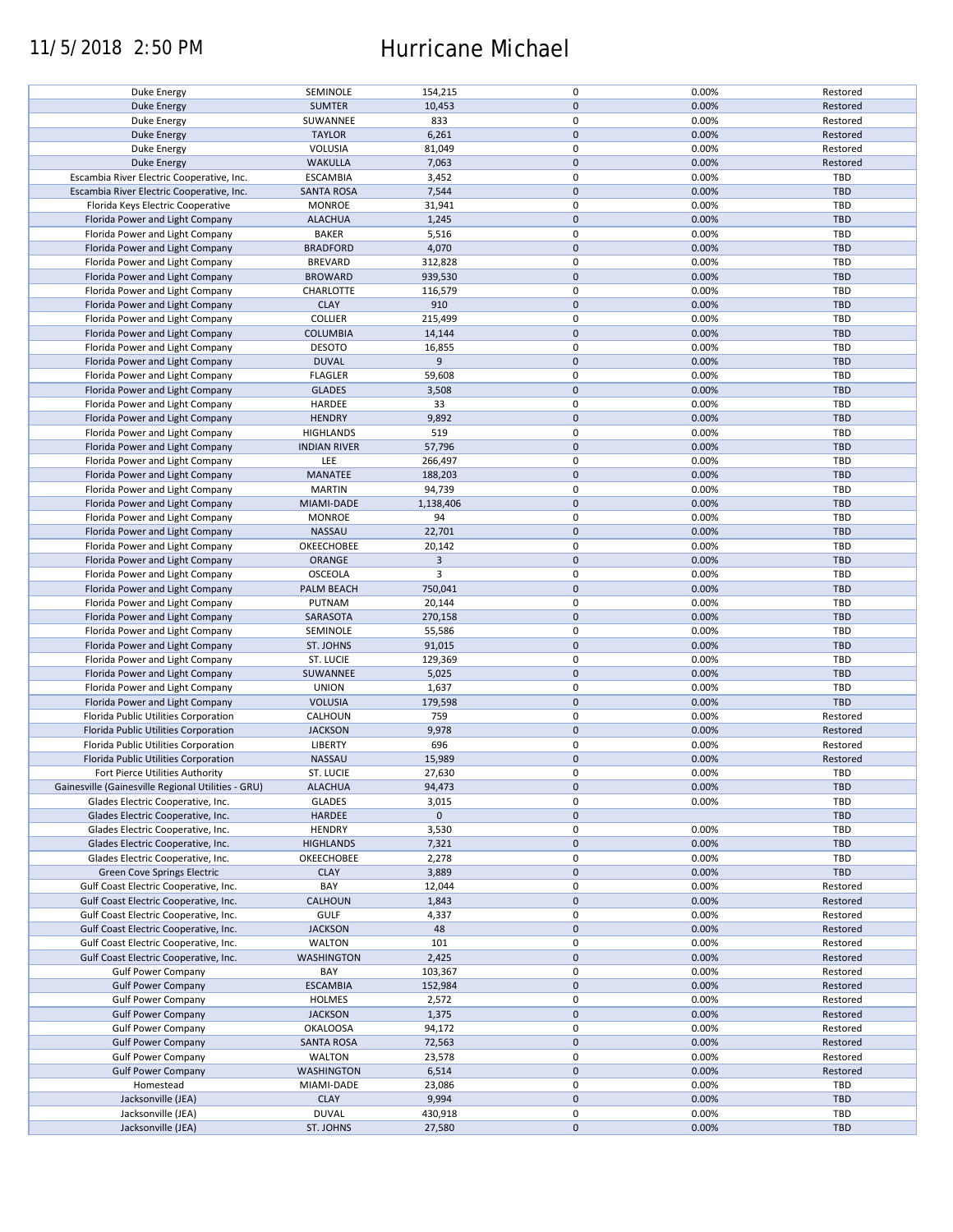## 11/5/2018 2:50 PM Hurricane Michael

| Duke Energy                                        |                           |                   |             |                |            |
|----------------------------------------------------|---------------------------|-------------------|-------------|----------------|------------|
|                                                    | SEMINOLE                  | 154,215           | $\pmb{0}$   | 0.00%          | Restored   |
| <b>Duke Energy</b>                                 | <b>SUMTER</b>             | 10,453            | $\pmb{0}$   | 0.00%          | Restored   |
|                                                    |                           |                   |             |                |            |
| Duke Energy                                        | SUWANNEE                  | 833               | $\pmb{0}$   | 0.00%          | Restored   |
|                                                    |                           |                   |             |                |            |
| <b>Duke Energy</b>                                 | <b>TAYLOR</b>             | 6,261             | $\pmb{0}$   | 0.00%          | Restored   |
| Duke Energy                                        | VOLUSIA                   | 81,049            | $\pmb{0}$   | 0.00%          | Restored   |
|                                                    |                           |                   |             |                |            |
| Duke Energy                                        | <b>WAKULLA</b>            | 7,063             | $\pmb{0}$   | 0.00%          | Restored   |
| Escambia River Electric Cooperative, Inc.          | <b>ESCAMBIA</b>           |                   | $\pmb{0}$   | 0.00%          | TBD        |
|                                                    |                           | 3,452             |             |                |            |
| Escambia River Electric Cooperative, Inc.          | <b>SANTA ROSA</b>         | 7,544             | $\pmb{0}$   | 0.00%          | <b>TBD</b> |
|                                                    |                           |                   |             |                |            |
| Florida Keys Electric Cooperative                  | <b>MONROE</b>             | 31,941            | $\pmb{0}$   | 0.00%          | TBD        |
| Florida Power and Light Company                    | <b>ALACHUA</b>            | 1,245             | $\pmb{0}$   | 0.00%          | <b>TBD</b> |
|                                                    |                           |                   |             |                |            |
| Florida Power and Light Company                    | <b>BAKER</b>              | 5,516             | $\mathbf 0$ | 0.00%          | TBD        |
|                                                    |                           |                   |             |                |            |
| Florida Power and Light Company                    | <b>BRADFORD</b>           | 4,070             | $\pmb{0}$   | 0.00%          | <b>TBD</b> |
| Florida Power and Light Company                    | <b>BREVARD</b>            | 312,828           | $\pmb{0}$   | 0.00%          | <b>TBD</b> |
|                                                    |                           |                   |             |                |            |
| Florida Power and Light Company                    | <b>BROWARD</b>            | 939,530           | $\pmb{0}$   | 0.00%          | <b>TBD</b> |
|                                                    |                           |                   |             |                |            |
| Florida Power and Light Company                    | CHARLOTTE                 | 116,579           | $\pmb{0}$   | 0.00%          | <b>TBD</b> |
| Florida Power and Light Company                    | <b>CLAY</b>               | 910               | $\pmb{0}$   | 0.00%          | <b>TBD</b> |
|                                                    |                           |                   |             |                |            |
| Florida Power and Light Company                    | <b>COLLIER</b>            | 215,499           | $\pmb{0}$   | 0.00%          | <b>TBD</b> |
| Florida Power and Light Company                    | <b>COLUMBIA</b>           |                   | $\pmb{0}$   | 0.00%          | <b>TBD</b> |
|                                                    |                           | 14,144            |             |                |            |
| Florida Power and Light Company                    | <b>DESOTO</b>             | 16,855            | $\pmb{0}$   | 0.00%          | TBD        |
|                                                    |                           |                   |             |                |            |
| Florida Power and Light Company                    | <b>DUVAL</b>              | 9                 | $\pmb{0}$   | 0.00%          | <b>TBD</b> |
|                                                    | <b>FLAGLER</b>            |                   | $\pmb{0}$   | 0.00%          | <b>TBD</b> |
| Florida Power and Light Company                    |                           | 59,608            |             |                |            |
| Florida Power and Light Company                    | <b>GLADES</b>             | 3,508             | $\pmb{0}$   | 0.00%          | <b>TBD</b> |
|                                                    |                           |                   |             |                |            |
| Florida Power and Light Company                    | HARDEE                    | 33                | $\pmb{0}$   | 0.00%          | <b>TBD</b> |
| Florida Power and Light Company                    | <b>HENDRY</b>             | 9,892             | $\mathbf 0$ | 0.00%          | <b>TBD</b> |
|                                                    |                           |                   |             |                |            |
| Florida Power and Light Company                    | <b>HIGHLANDS</b>          | 519               | $\pmb{0}$   | 0.00%          | <b>TBD</b> |
|                                                    |                           |                   |             |                |            |
| Florida Power and Light Company                    | <b>INDIAN RIVER</b>       | 57,796            | $\pmb{0}$   | 0.00%          | TBD        |
|                                                    |                           |                   | $\pmb{0}$   |                | <b>TBD</b> |
| Florida Power and Light Company                    | LEE                       | 266,497           |             | 0.00%          |            |
| Florida Power and Light Company                    | MANATEE                   | 188,203           | $\pmb{0}$   | 0.00%          | <b>TBD</b> |
|                                                    |                           |                   |             |                |            |
| Florida Power and Light Company                    | <b>MARTIN</b>             | 94,739            | $\pmb{0}$   | 0.00%          | <b>TBD</b> |
| Florida Power and Light Company                    | MIAMI-DADE                | 1,138,406         | $\pmb{0}$   | 0.00%          | <b>TBD</b> |
|                                                    |                           |                   |             |                |            |
| Florida Power and Light Company                    | <b>MONROE</b>             | 94                | $\pmb{0}$   | 0.00%          | <b>TBD</b> |
|                                                    |                           |                   |             |                |            |
| Florida Power and Light Company                    | NASSAU                    | 22,701            | $\pmb{0}$   | 0.00%          | <b>TBD</b> |
| Florida Power and Light Company                    | OKEECHOBEE                | 20,142            | $\mathbf 0$ | 0.00%          | TBD        |
|                                                    |                           |                   |             |                |            |
| Florida Power and Light Company                    | ORANGE                    | 3                 | $\pmb{0}$   | 0.00%          | <b>TBD</b> |
|                                                    |                           |                   |             |                |            |
| Florida Power and Light Company                    | OSCEOLA                   | 3                 | $\pmb{0}$   | 0.00%          | TBD        |
| Florida Power and Light Company                    | PALM BEACH                | 750,041           | $\pmb{0}$   | 0.00%          | <b>TBD</b> |
|                                                    |                           |                   |             |                |            |
| Florida Power and Light Company                    | PUTNAM                    | 20,144            | $\pmb{0}$   | 0.00%          | <b>TBD</b> |
|                                                    | SARASOTA                  | 270,158           | $\pmb{0}$   | 0.00%          | <b>TBD</b> |
| Florida Power and Light Company                    |                           |                   |             |                |            |
| Florida Power and Light Company                    | SEMINOLE                  | 55,586            | $\pmb{0}$   | 0.00%          | TBD        |
|                                                    |                           |                   |             |                |            |
| Florida Power and Light Company                    | ST. JOHNS                 | 91,015            | $\mathbf 0$ | 0.00%          | <b>TBD</b> |
| Florida Power and Light Company                    | ST. LUCIE                 | 129,369           | 0           | 0.00%          | TBD        |
|                                                    |                           |                   |             |                |            |
| Florida Power and Light Company                    | SUWANNEE                  | 5,025             | $\mathbf 0$ | 0.00%          | <b>TBD</b> |
|                                                    |                           |                   |             |                |            |
| Florida Power and Light Company                    | <b>UNION</b>              | 1,637             | $\pmb{0}$   | 0.00%          | TBD        |
| Florida Power and Light Company                    | <b>VOLUSIA</b>            | 179,598           | $\pmb{0}$   | 0.00%          | <b>TBD</b> |
|                                                    |                           |                   |             |                |            |
| Florida Public Utilities Corporation               | CALHOUN                   | 759               | 0           | 0.00%          | Restored   |
|                                                    |                           |                   |             |                |            |
| Florida Public Utilities Corporation               | <b>JACKSON</b>            | 9,978             | $\mathbf 0$ | 0.00%          | Restored   |
| Florida Public Utilities Corporation               | LIBERTY                   | 696               | $\pmb{0}$   | 0.00%          | Restored   |
|                                                    |                           |                   |             |                |            |
| Florida Public Utilities Corporation               | <b>NASSAU</b>             | 15,989            | $\pmb{0}$   | 0.00%          | Restored   |
|                                                    |                           |                   | $\mathbf 0$ |                | TBD        |
| Fort Pierce Utilities Authority                    | ST. LUCIE                 | 27,630            |             | 0.00%          |            |
| Gainesville (Gainesville Regional Utilities - GRU) | <b>ALACHUA</b>            | 94,473            |             |                |            |
|                                                    |                           |                   |             |                |            |
|                                                    |                           |                   | $\pmb{0}$   | 0.00%          | <b>TBD</b> |
| Glades Electric Cooperative, Inc.                  | <b>GLADES</b>             | 3,015             | $\pmb{0}$   | 0.00%          | TBD        |
|                                                    |                           |                   |             |                |            |
| Glades Electric Cooperative, Inc.                  | HARDEE                    | $\mathbf 0$       | $\pmb{0}$   |                | <b>TBD</b> |
|                                                    |                           |                   | $\pmb{0}$   |                | TBD        |
| Glades Electric Cooperative, Inc.                  | <b>HENDRY</b>             | 3,530             |             | 0.00%          |            |
| Glades Electric Cooperative, Inc.                  | <b>HIGHLANDS</b>          | 7,321             | $\mathbf 0$ | 0.00%          | <b>TBD</b> |
|                                                    |                           |                   |             |                |            |
| Glades Electric Cooperative, Inc.                  | OKEECHOBEE                | 2,278             | 0           | 0.00%          | TBD        |
| Green Cove Springs Electric                        | <b>CLAY</b>               |                   | $\pmb{0}$   | 0.00%          | <b>TBD</b> |
|                                                    |                           | 3,889             |             |                |            |
| Gulf Coast Electric Cooperative, Inc.              | BAY                       | 12,044            | 0           | 0.00%          | Restored   |
|                                                    |                           |                   |             |                |            |
| Gulf Coast Electric Cooperative, Inc.              | CALHOUN                   | 1,843             | 0           | 0.00%          | Restored   |
| Gulf Coast Electric Cooperative, Inc.              | <b>GULF</b>               | 4,337             | 0           | 0.00%          | Restored   |
|                                                    |                           |                   |             |                |            |
| Gulf Coast Electric Cooperative, Inc.              | <b>JACKSON</b>            | 48                | $\pmb{0}$   | 0.00%          | Restored   |
|                                                    |                           |                   |             |                |            |
| Gulf Coast Electric Cooperative, Inc.              | WALTON                    | 101               | 0           | 0.00%          | Restored   |
| Gulf Coast Electric Cooperative, Inc.              | <b>WASHINGTON</b>         | 2,425             | $\pmb{0}$   | 0.00%          | Restored   |
|                                                    |                           |                   |             |                |            |
| <b>Gulf Power Company</b>                          | BAY                       | 103,367           | 0           | 0.00%          | Restored   |
|                                                    |                           |                   |             |                |            |
| <b>Gulf Power Company</b>                          | <b>ESCAMBIA</b>           | 152,984           | $\pmb{0}$   | 0.00%          | Restored   |
| <b>Gulf Power Company</b>                          | <b>HOLMES</b>             | 2,572             | 0           | 0.00%          | Restored   |
|                                                    |                           |                   |             |                |            |
| <b>Gulf Power Company</b>                          | <b>JACKSON</b>            | 1,375             | $\pmb{0}$   | 0.00%          | Restored   |
|                                                    |                           |                   |             |                |            |
| <b>Gulf Power Company</b>                          | <b>OKALOOSA</b>           | 94,172            | 0           | 0.00%          | Restored   |
| <b>Gulf Power Company</b>                          | <b>SANTA ROSA</b>         | 72,563            | $\pmb{0}$   | 0.00%          | Restored   |
|                                                    |                           |                   |             |                |            |
| <b>Gulf Power Company</b>                          | WALTON                    | 23,578            | 0           | 0.00%          | Restored   |
|                                                    |                           |                   |             |                |            |
| <b>Gulf Power Company</b>                          | WASHINGTON                | 6,514             | $\pmb{0}$   | 0.00%          | Restored   |
| Homestead                                          | MIAMI-DADE                | 23,086            | 0           | 0.00%          | TBD        |
|                                                    |                           |                   |             |                |            |
| Jacksonville (JEA)                                 | <b>CLAY</b>               | 9,994             | $\mathbf 0$ | 0.00%          | <b>TBD</b> |
|                                                    |                           |                   |             |                | TBD        |
| Jacksonville (JEA)<br>Jacksonville (JEA)           | <b>DUVAL</b><br>ST. JOHNS | 430,918<br>27,580 | 0<br>0      | 0.00%<br>0.00% | TBD        |